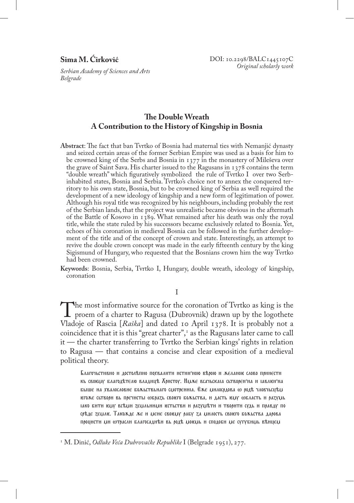# **Sima M. Ćirković**

*Serbian Academy of Sciences and Arts Belgrade*

# **The Double Wreath A Contribution to the History of Kingship in Bosnia**

**Abstract**: The fact that ban Tvrtko of Bosnia had maternal ties with Nemanjić dynasty and seized certain areas of the former Serbian Empire was used as a basis for him to be crowned king of the Serbs and Bosnia in 1377 in the monastery of Mileševa over the grave of Saint Sava. His charter issued to the Ragusans in  $1378$  contains the term "double wreath" which figuratively symbolized the rule of Tvrtko I over two Serbinhabited states, Bosnia and Serbia. Tvrtko's choice not to annex the conquered territory to his own state, Bosnia, but to be crowned king of Serbia as well required the development of a new ideology of kingship and a new form of legitimation of power. Although his royal title was recognized by his neighbours, including probably the rest of the Serbian lands, that the project was unrealistic became obvious in the aftermath of the Battle of Kosovo in 1389. What remained after his death was only the royal title, while the state ruled by his successors became exclusively related to Bosnia. Yet, echoes of his coronation in medieval Bosnia can be followed in the further development of the title and of the concept of crown and state. Interestingly, an attempt to revive the double crown concept was made in the early fifteenth century by the king Sigismund of Hungary, who requested that the Bosnians crown him the way Tvrtko had been crowned.

**Keywords**: Bosnia, Serbia, Tvrtko I, Hungary, double wreath, ideology of kingship, coronation

## I

The most informative source for the coronation of Tvrtko as king is the proem of a charter to Ragusa (Dubrovnik) drawn up by the logothete Vladoie of Rascia [*Raška*] and dated 10 April 1278. It is probably not a Vladoje of Rascia [*Raška*] and dated 10 April 1378. It is probably not a coincidence that it is this "great charter",1 as the Ragusans later came to call it — the charter transferring to Tvrtko the Serbian kings' rights in relation to Ragusa — that contains a concise and clear exposition of a medieval political theory.

Благочьстивно и достолепно похвалити истин'ною верою и желаное слово принести кь своему благодетелю владнце Христоу. Ниже всачьскаіа сьтворен'на и іавлюн'на **БЫШЕ НА ХВАЛОСЛОВНЕ БОЖЬСТВЬНАГО СИОТРЕННІА. ЕЖЕ ИНЛОСРДОВА СО РОДЕ ЧЛОВЧЬСЦЕЛІ** EFOAE CETEOOH EL ПОЕТНСТЫ WEOAZL CEOEFO EOALCTEA, H AACTL ELIY WEAACTL H OAZVIJL IAKO БИТИ ЕМУ ВСЪЛИ ZEМАЬНИМИ ЕСТЬСТВИ И РАСУМЪТИ И ТВОРИТИ СУДЬ И ПРАВДУ ПО среде землю. Такожде же и мене своюму рабу за милость своюго божьства дарова процисти ми фтрасли благосадиен вь роде монмь и сподоби ме сутубимь венцем

<sup>1</sup> M. Dinić, *Odluke Veća Dubrovačke Republike* I (Belgrade 1951), 277.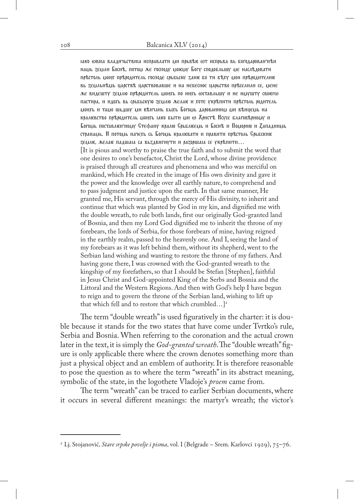IAKO WEOIA ВЛАДНУЬСТВНІА ИСПРАВЛАТИ ДІН ПРЬЕТЬЕ WT ИСПРЬВА ВЬ БОГОДАРОВАН'НТАН наць зеціан Боснъ, потоці же господу ціовцу Богу сподобаьшу це насаъдоватн престоль монх прероднтель господе срьбьске дане бо ти беху мон прероднтелне вь земльнемь царстве царствовавше и на небесное царьство преселили се, мене же видешту землю преродитель монхь по нихь оставльшу и не имушту своюто пастира, и идохь вь срьбьскую землю желан и хоте укрепити престоль родитель mohxe h tamo шедшу мн вънчане быхе Богоме дарованним ми вънцеме на **КРАЛЕВСТВО ПРЕРОДНТЕЛЬ МОНХЬ IAKO БЫТН МИ W КРИСТЕ ИСУСЕ БЛАГОВЕРНОМУ И** Богоды поставлен'ноду Стефану кралю Срьблееды и Боснъ и Подорию и Дападниды странаць. И потоць начехь сь Богоць кралювати и правити престоль Срьбскию zenak, желак падшаіа са вьздвигнути и разоршаіа се укрепити... [It is pious and worthy to praise the true faith and to submit the word that one desires to one's benefactor, Christ the Lord, whose divine providence is praised through all creatures and phenomena and who was merciful on mankind, which He created in the image of His own divinity and gave it the power and the knowledge over all earthly nature, to comprehend and to pass judgment and justice upon the earth. In that same manner, He granted me, His servant, through the mercy of His divinity, to inherit and continue that which was planted by God in my kin, and dignified me with the double wreath, to rule both lands, first our originally God-granted land of Bosnia, and then my Lord God dignified me to inherit the throne of my forebears, the lords of Serbia, for those forebears of mine, having reigned in the earthly realm, passed to the heavenly one. And I, seeing the land of my forebears as it was left behind them, without its shepherd, went to the Serbian land wishing and wanting to restore the throne of my fathers. And having gone there, I was crowned with the God-granted wreath to the kingship of my forefathers, so that I should be Stefan [Stephen], faithful in Jesus Christ and God-appointed King of the Serbs and Bosnia and the Littoral and the Western Regions. And then with God's help I have begun to reign and to govern the throne of the Serbian land, wishing to lift up that which fell and to restore that which crumbled... $]$ <sup>2</sup>

The term "double wreath" is used figuratively in the charter: it is double because it stands for the two states that have come under Tvrtko's rule, Serbia and Bosnia. When referring to the coronation and the actual crown later in the text, it is simply the *God-granted wreath*. The "double wreath" figure is only applicable there where the crown denotes something more than just a physical object and an emblem of authority. It is therefore reasonable to pose the question as to where the term "wreath" in its abstract meaning, symbolic of the state, in the logothete Vladoje's *proem* came from.

The term "wreath" can be traced to earlier Serbian documents, where it occurs in several different meanings: the martyr's wreath; the victor's

<sup>2</sup> Lj. Stojanović, *Stare srpske povelje i pisma*, vol. I (Belgrade – Srem. Karlovci 1929), 75–76.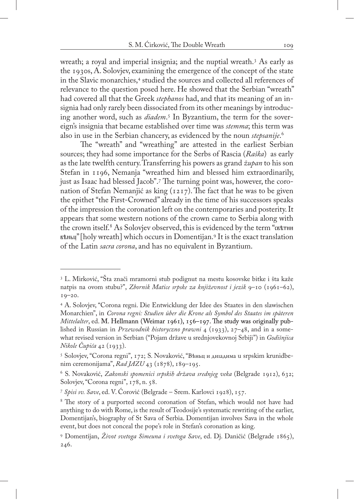wreath; a royal and imperial insignia; and the nuptial wreath.3 As early as the 1930s, A. Solovjev, examining the emergence of the concept of the state in the Slavic monarchies,<sup>4</sup> studied the sources and collected all references of relevance to the question posed here. He showed that the Serbian "wreath" had covered all that the Greek *stephanos* had, and that its meaning of an insignia had only rarely been dissociated from its other meanings by introducing another word, such as *diadem*. 5 In Byzantium, the term for the sovereign's insignia that became established over time was *stemma*; this term was also in use in the Serbian chancery, as evidenced by the noun *stepsanije*. 6

The "wreath" and "wreathing" are attested in the earliest Serbian sources; they had some importance for the Serbs of Rascia (*Raška*) as early as the late twelfth century. Transferring his powers as grand *župan* to his son Stefan in 1196, Nemanja "wreathed him and blessed him extraordinarily, just as Isaac had blessed Jacob".7 The turning point was, however, the coronation of Stefan Nemanjić as king (1217). The fact that he was to be given the epithet "the First-Crowned" already in the time of his successors speaks of the impression the coronation left on the contemporaries and posterity. It appears that some western notions of the crown came to Serbia along with the crown itself. $^8$  As Solovjev observed, this is evidenced by the term " $\alpha$ ктни въньц" [holy wreath] which occurs in Domentijan.<sup>9</sup> It is the exact translation of the Latin *sacra corona*, and has no equivalent in Byzantium.

<sup>3</sup> L. Mirković, "Šta znači mramorni stub podignut na mestu kosovske bitke i šta kaže natpis na ovom stubu?", *Zbornik Matice srpske za književnost i jezik* 9–10 (1961–62),  $19 - 20.$ 

<sup>4</sup> A. Solovjev, "Corona regni. Die Entwicklung der Idee des Staates in den slawischen Monarchien", in *Corona regni: Studien über die Krone als Symbol des Staates im späteren Mittelalter*, ed. M. Hellmann (Weimar 1961), 156–197. The study was originally published in Russian in *Przewodnik historyczno prawni* 4 (1933), 27–48, and in a somewhat revised version in Serbian ("Pojam države u srednjovekovnoj Srbiji") in *Godišnjica Nikole Čupića* 42 (1933).

<sup>5</sup> Solovjev, "Corona regni", 172; S. Novaković, "Вѣньц и диıадима u srpskim krunidbenim ceremonijama", *Rad JAZU* 43 (1878), 189–195.

<sup>6</sup> S. Novaković, *Zakonski spomenici srpskih država srednjeg veka* (Belgrade 1912), 632; Solovjev, "Corona regni", 178, n. 58.

<sup>7</sup> *Spisi sv. Save*, ed. V. Ćorović (Belgrade – Srem. Karlovci 1928), 157.

<sup>8</sup> The story of a purported second coronation of Stefan, which would not have had anything to do with Rome, is the result of Teodosije's systematic rewriting of the earlier, Domentijan's, biography of St Sava of Serbia. Domentijan involves Sava in the whole event, but does not conceal the pope's role in Stefan's coronation as king.

<sup>9</sup> Domentijan, *Život svetoga Simeuna i svetoga Save*, ed. Dj. Daničić (Belgrade 1865), 246.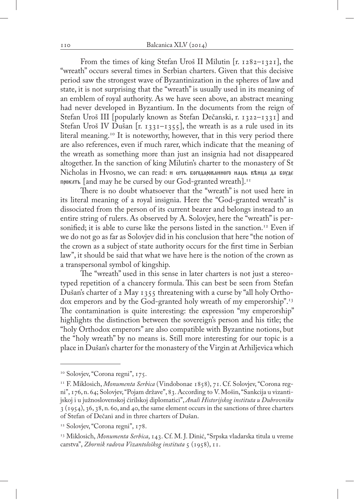From the times of king Stefan Uroš II Milutin [r. 1282–1321], the "wreath" occurs several times in Serbian charters. Given that this decisive period saw the strongest wave of Byzantinization in the spheres of law and state, it is not surprising that the "wreath" is usually used in its meaning of an emblem of royal authority. As we have seen above, an abstract meaning had never developed in Byzantium. In the documents from the reign of Stefan Uroš III [popularly known as Stefan Dečanski, r. 1322–1331] and Stefan Uroš IV Dušan [r. 1331–1355], the wreath is as a rule used in its literal meaning.<sup>10</sup> It is noteworthy, however, that in this very period there are also references, even if much rarer, which indicate that the meaning of the wreath as something more than just an insignia had not disappeared altogether. In the sanction of king Milutin's charter to the monastery of St Nicholas in Hvosno, we can read: **H** WTL BOFOAAPOBAHHOFO HALLE REHILA AA BOYAE  $n$ <sup>0</sup> n $\alpha$ <sup>Th</sup> and may he be cursed by our God-granted wreath].<sup>11</sup>

There is no doubt whatsoever that the "wreath" is not used here in its literal meaning of a royal insignia. Here the "God-granted wreath" is dissociated from the person of its current bearer and belongs instead to an entire string of rulers. As observed by A. Solovjev, here the "wreath" is personified; it is able to curse like the persons listed in the sanction.<sup>12</sup> Even if we do not go as far as Solovjev did in his conclusion that here "the notion of the crown as a subject of state authority occurs for the first time in Serbian law", it should be said that what we have here is the notion of the crown as a transpersonal symbol of kingship.

The "wreath" used in this sense in later charters is not just a stereotyped repetition of a chancery formula. This can best be seen from Stefan Dušan's charter of 2 May 1355 threatening with a curse by "all holy Orthodox emperors and by the God-granted holy wreath of my emperorship".<sup>13</sup> The contamination is quite interesting: the expression "my emperorship" highlights the distinction between the sovereign's person and his title; the "holy Orthodox emperors" are also compatible with Byzantine notions, but the "holy wreath" by no means is. Still more interesting for our topic is a place in Dušan's charter for the monastery of the Virgin at Arhiljevica which

<sup>&</sup>lt;sup>10</sup> Solovjev, "Corona regni", 175.

<sup>11</sup> F. Miklosich, *Monumenta Serbica* (Vindobonae 1858), 71. Cf. Solovjev, "Corona regni", 176, n. 64; Solovjev, "Pojam države", 83. According to V. Mošin, "Sankcija u vizantijskoj i u južnoslovenskoj ćirilskoj diplomatici", *Anali Historijskog instituta u Dubrovniku*  3 (1954), 36, 38, n. 60, and 40, the same element occurs in the sanctions of three charters of Stefan of Dečani and in three charters of Dušan.

<sup>&</sup>lt;sup>12</sup> Solovjev, "Corona regni", 178.

<sup>13</sup> Miklosich, *Monumenta Serbica*, 143. Cf. M. J. Dinić, "Srpska vladarska titula u vreme carstva", *Zbornik radova Vizantološkog instituta* 5 (1958), 11.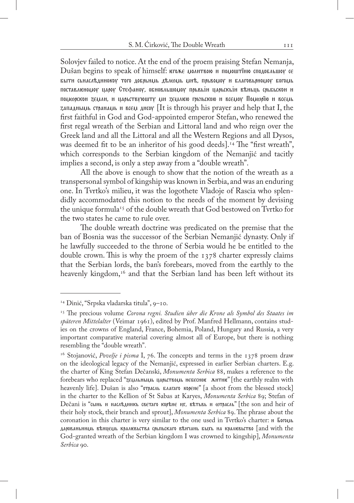Solovjev failed to notice. At the end of the proem praising Stefan Nemanja, Dušan begins to speak of himself:  $\epsilon$ гоже молнтвою и помоштїню сподобльшоу се выти сьнаследниокоу того добрьниь делюць ине, прьвомоу и благовьрномоу богомь поставлюномог царог Стефаног, обновльшомог прьвый царьскый веньць срьбьской и помюрскон zeмлн, и царьствуюшту ми zeмлюю грынскою и всемоу Помюрїю и всемь zanagnalium creanally is really an  $\alpha$  [It is through his prayer and help that I, the first faithful in God and God-appointed emperor Stefan, who renewed the first regal wreath of the Serbian and Littoral land and who reign over the Greek land and all the Littoral and all the Western Regions and all Dysos, was deemed fit to be an inheritor of his good deeds].<sup>14</sup> The "first wreath", which corresponds to the Serbian kingdom of the Nemanjić and tacitly implies a second, is only a step away from a "double wreath".

All the above is enough to show that the notion of the wreath as a transpersonal symbol of kingship was known in Serbia, and was an enduring one. In Tvrtko's milieu, it was the logothete Vladoje of Rascia who splendidly accommodated this notion to the needs of the moment by devising the unique formula<sup>15</sup> of the double wreath that God bestowed on Tvrtko for the two states he came to rule over.

The double wreath doctrine was predicated on the premise that the ban of Bosnia was the successor of the Serbian Nemanjić dynasty. Only if he lawfully succeeded to the throne of Serbia would he be entitled to the double crown. This is why the proem of the 1378 charter expressly claims that the Serbian lords, the ban's forebears, moved from the earthly to the heavenly kingdom,<sup>16</sup> and that the Serbian land has been left without its

<sup>14</sup> Dinić, "Srpska vladarska titula", 9–10.

<sup>15</sup> The precious volume *Corona regni. Studien über die Krone als Symbol des Staates im späteren Mittelalter* (Veimar 1961), edited by Prof. Manfred Hellmann, contains studies on the crowns of England, France, Bohemia, Poland, Hungary and Russia, a very important comparative material covering almost all of Europe, but there is nothing resembling the "double wreath".

<sup>&</sup>lt;sup>16</sup> Stojanović, *Povelje i pisma* I, 76. The concepts and terms in the 1378 proem draw on the ideological legacy of the Nemanjić, expressed in earlier Serbian charters. E.g. the charter of King Stefan Dečanski, *Monumenta Serbica* 88, makes a reference to the forebears who replaced "zELIALHLILLLA HAPLETEOLIL HEEGCHOF AHTHE" [the earthly realm with heavenly life]. Dušan is also "отрасль влагаго корене" [a shoot from the blessed stock] in the charter to the Kellion of St Sabas at Karyes, *Monumenta Serbica* 89; Stefan of Dečani is "сынь и наследникь светаго корене нх, ветьвь и wtpacab" [the son and heir of their holy stock, their branch and sprout], *Monumenta Serbica* 89. The phrase about the coronation in this charter is very similar to the one used in Tyrtko's charter:  $\mu$  Foro $\mu$ dapobahьниць вънцець кралювьства срыпьскаго вънчань быхь на кралювьство [and with the God-granted wreath of the Serbian kingdom I was crowned to kingship], *Monumenta Serbica* 90.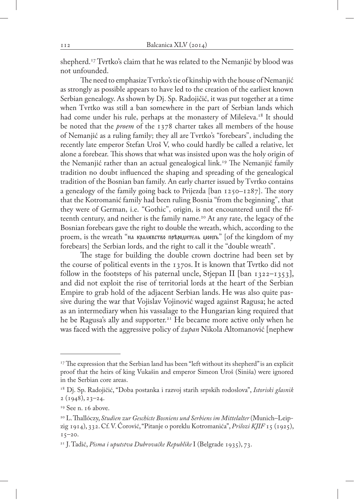shepherd.<sup>17</sup> Tvrtko's claim that he was related to the Nemanjić by blood was not unfounded.

The need to emphasize Tvrtko's tie of kinship with the house of Nemanjić as strongly as possible appears to have led to the creation of the earliest known Serbian genealogy. As shown by Dj. Sp. Radojičić, it was put together at a time when Tvrtko was still a ban somewhere in the part of Serbian lands which had come under his rule, perhaps at the monastery of Mileševa.<sup>18</sup> It should be noted that the *proem* of the 1378 charter takes all members of the house of Nemanjić as a ruling family; they all are Tvrtko's "forebears", including the recently late emperor Stefan Uroš V, who could hardly be called a relative, let alone a forebear. This shows that what was insisted upon was the holy origin of the Nemanjić rather than an actual genealogical link.19 The Nemanjić family tradition no doubt influenced the shaping and spreading of the genealogical tradition of the Bosnian ban family. An early charter issued by Tvrtko contains a genealogy of the family going back to Prijezda [ban 1250–1287]. The story that the Kotromanić family had been ruling Bosnia "from the beginning", that they were of German, i.e. "Gothic", origin, is not encountered until the fifteenth century, and neither is the family name.<sup>20</sup> At any rate, the legacy of the Bosnian forebears gave the right to double the wreath, which, according to the proem, is the wreath "на кралквство прероднтель мондъ" [of the kingdom of my forebears] the Serbian lords, and the right to call it the "double wreath".

The stage for building the double crown doctrine had been set by the course of political events in the 1370s. It is known that Tvrtko did not follow in the footsteps of his paternal uncle, Stjepan II [ban  $1322-1353$ ], and did not exploit the rise of territorial lords at the heart of the Serbian Empire to grab hold of the adjacent Serbian lands. He was also quite passive during the war that Vojislav Vojinović waged against Ragusa; he acted as an intermediary when his vassalage to the Hungarian king required that he be Ragusa's ally and supporter.<sup>21</sup> He became more active only when he was faced with the aggressive policy of *župan* Nikola Altomanović [nephew

<sup>&</sup>lt;sup>17</sup> The expression that the Serbian land has been "left without its shepherd" is an explicit proof that the heirs of king Vukašin and emperor Simeon Uroš (Siniša) were ignored in the Serbian core areas.

<sup>18</sup> Dj. Sp. Radojičić, "Doba postanka i razvoj starih srpskih rodoslova", *Istoriski glasnik*   $2(1948), 23-24.$ 

<sup>&</sup>lt;sup>19</sup> See n. 16 above.

<sup>&</sup>lt;sup>20</sup> L. Thallóczy, *Studien zur Geschicte Bosniens und Serbiens im Mittelalter* (Munich–Leipzig 1914), 332. Cf. V. Ćorović, "Pitanje o poreklu Kotromanića", *Prilozi KJIF* 15 (1925),  $15 - 20.$ 

<sup>21</sup> J. Tadić, *Pisma i uputstva Dubrovačke Republike* I (Belgrade 1935), 73.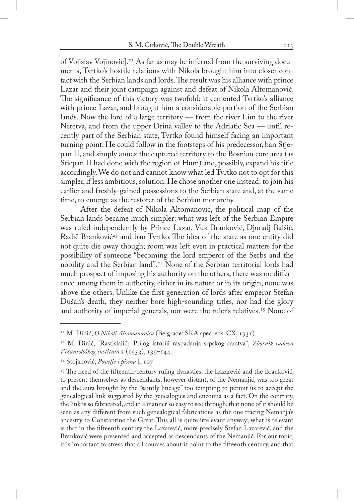of Vojislav Vojinović].22 As far as may be inferred from the surviving documents, Tvrtko's hostile relations with Nikola brought him into closer contact with the Serbian lands and lords. The result was his alliance with prince Lazar and their joint campaign against and defeat of Nikola Altomanović. The significance of this victory was twofold: it cemented Tvrtko's alliance with prince Lazar, and brought him a considerable portion of the Serbian lands. Now the lord of a large territory — from the river Lim to the river Neretva, and from the upper Drina valley to the Adriatic Sea — until recently part of the Serbian state, Tvrtko found himself facing an important turning point. He could follow in the footsteps of his predecessor, ban Stjepan II, and simply annex the captured territory to the Bosnian core area (as Stjepan II had done with the region of Hum) and, possibly, expand his title accordingly. We do not and cannot know what led Tvrtko not to opt for this simpler, if less ambitious, solution. He chose another one instead: to join his earlier and freshly-gained possessions to the Serbian state and, at the same time, to emerge as the restorer of the Serbian monarchy.

After the defeat of Nikola Altomanović, the political map of the Serbian lands became much simpler: what was left of the Serbian Empire was ruled independently by Prince Lazar, Vuk Branković, Djuradj Balšić, Radič Branković<sup>23</sup> and ban Tvrtko. The idea of the state as one entity did not quite die away though; room was left even in practical matters for the possibility of someone "becoming the lord emperor of the Serbs and the nobility and the Serbian land".24 None of the Serbian territorial lords had much prospect of imposing his authority on the others; there was no difference among them in authority, either in its nature or in its origin, none was above the others. Unlike the first generation of lords after emperor Stefan Dušan's death, they neither bore high-sounding titles, nor had the glory and authority of imperial generals, nor were the ruler's relatives.<sup>25</sup> None of

<sup>22</sup> M. Dinić, *O Nikoli Altomanoviću* (Belgrade: SKA spec. eds. CX, 1931).

<sup>23</sup> M. Dinić, "Rastislalići. Prilog istoriji raspadanja srpskog carstva", *Zbornik radova Vizantološkog instituta* 2 (1953), 139–144.

<sup>24</sup> Stojanović, *Povelje i pisma* I, 107.

<sup>&</sup>lt;sup>25</sup> The need of the fifteenth-century ruling dynasties, the Lazarević and the Branković, to present themselves as descendants, however distant, of the Nemanjić, was too great and the aura brought by the "saintly lineage" too tempting to permit us to accept the genealogical link suggested by the genealogies and encomia as a fact. On the contrary, the link is so fabricated, and in a manner so easy to see through, that none of it should be seen as any different from such genealogical fabrications as the one tracing Nemanja's ancestry to Constantine the Great. This all is quite irrelevant anyway; what is relevant is that in the fifteenth century the Lazarević, more precisely Stefan Lazarević, and the Branković were presented and accepted as descendants of the Nemanjić. For our topic, it is important to stress that all sources about it point to the fifteenth century, and that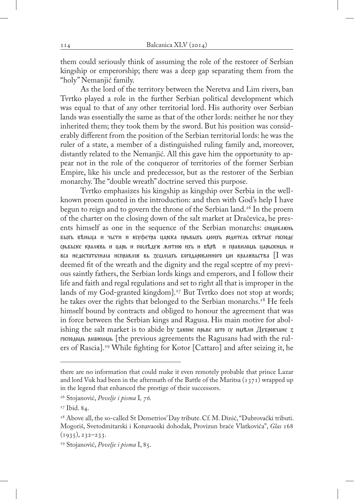them could seriously think of assuming the role of the restorer of Serbian kingship or emperorship; there was a deep gap separating them from the "holy" Nemanjić family.

As the lord of the territory between the Neretva and Lim rivers, ban Tvrtko played a role in the further Serbian political development which was equal to that of any other territorial lord. His authority over Serbian lands was essentially the same as that of the other lords: neither he nor they inherited them; they took them by the sword. But his position was considerably different from the position of the Serbian territorial lords: he was the ruler of a state, a member of a distinguished ruling family and, moreover, distantly related to the Nemanjić. All this gave him the opportunity to appear not in the role of the conqueror of territories of the former Serbian Empire, like his uncle and predecessor, but as the restorer of the Serbian monarchy. The "double wreath" doctrine served this purpose.

Tvrtko emphasizes his kingship as kingship over Serbia in the wellknown proem quoted in the introduction: and then with God's help I have begun to reign and to govern the throne of the Serbian land.<sup>26</sup> In the proem of the charter on the closing down of the salt market at Dračevica, he presents himself as one in the sequence of the Serbian monarchs: CHOAOBAICHILE быхь веньца и чьсти и ксуфетра царска прьвыхь донхь родитель светых господе  $\epsilon$ рьбьске кралювь и царь и последую житню ихь и вере и правилоды царьскиды и вса недостатьчнаіа исправлік вь земліахь богодарованного ми кралювьства  $\left[$ I was deemed fit of the wreath and the dignity and the regal sceptre of my previous saintly fathers, the Serbian lords kings and emperors, and I follow their life and faith and regal regulations and set to right all that is improper in the lands of my God-granted kingdom].<sup>27</sup> But Tvrtko does not stop at words; he takes over the rights that belonged to the Serbian monarchs.<sup>28</sup> He feels himself bound by contracts and obliged to honour the agreement that was in force between the Serbian kings and Ragusa. His main motive for abolishing the salt market is to abide by законе прыве што су ны кан Дубровчане з  $r$  rocnodolula palinkolula [the previous agreements the Ragusans had with the rulers of Rascia].29 While fighting for Kotor [Cattaro] and after seizing it, he

there are no information that could make it even remotely probable that prince Lazar and lord Vuk had been in the aftermath of the Battle of the Maritsa  $(\frac{1371}{1371})$  wrapped up in the legend that enhanced the prestige of their successors.

<sup>26</sup> Stojanović, *Povelje i pisma* I*, 76.*

<sup>27</sup> Ibid. 84.

<sup>&</sup>lt;sup>28</sup> Above all, the so-called St Demetrios' Day tribute. Cf. M. Dinić, "Dubrovački tributi. Mogoriš, Svetodmitarski i Konavaoski dohodak, Provizun braće Vlatkovića", *Glas* 168 (1935), 232–233.

<sup>29</sup> Stojanović, *Povelje i pisma* I, 85.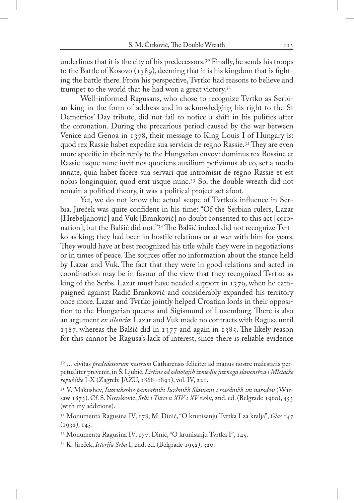underlines that it is the city of his predecessors.<sup>30</sup> Finally, he sends his troops to the Battle of Kosovo (1389), deeming that it is his kingdom that is fighting the battle there. From his perspective, Tvrtko had reasons to believe and trumpet to the world that he had won a great victory. $3<sup>T</sup>$ 

Well-informed Ragusans, who chose to recognize Tvrtko as Serbian king in the form of address and in acknowledging his right to the St Demetrios' Day tribute, did not fail to notice a shift in his politics after the coronation. During the precarious period caused by the war between Venice and Genoa in 1378, their message to King Louis I of Hungary is: quod rex Rassie habet expedire sua servicia de regno Rassie.<sup>32</sup> They are even more specific in their reply to the Hungarian envoy: dominus rex Bossine et Rassie usque nunc iuvit nos quociens auxilium petivimus ab eo, set a modo innate, quia habet facere sua servari que intromisit de regno Rassie et est nobis longinquior, quod erat usque nunc.33 So, the double wreath did not remain a political theory, it was a political project set afoot.

Yet, we do not know the actual scope of Tvrtko's influence in Serbia. Jireček was quite confident in his time: "Of the Serbian rulers, Lazar [Hrebeljanović] and Vuk [Branković] no doubt consented to this act [coronation], but the Balšić did not."34 The Balšić indeed did not recognize Tvrtko as king; they had been in hostile relations or at war with him for years. They would have at best recognized his title while they were in negotiations or in times of peace. The sources offer no information about the stance held by Lazar and Vuk. The fact that they were in good relations and acted in coordination may be in favour of the view that they recognized Tvrtko as king of the Serbs. Lazar must have needed support in 1379, when he campaigned against Radič Branković and considerably expanded his territory once more. Lazar and Tvrtko jointly helped Croatian lords in their opposition to the Hungarian queens and Sigismund of Luxemburg. There is also an argument *ex silencio*: Lazar and Vuk made no contracts with Ragusa until 1387, whereas the Balšić did in 1377 and again in 1385. The likely reason for this cannot be Ragusa's lack of interest, since there is reliable evidence

<sup>30 …</sup> civitas *prededessorum nostrum* Catharensis feliciter ad manus nostre maiestatis perpetualiter prevenit, in Š. Ljubić, *Listine od odnošajih izmedju južnoga slavenstva i Mletačke republike* I-X (Zagreb: JAZU, 1868–1891), vol. IV, 221.

<sup>31</sup> V. Makushev, *Istoricheskie pamiatniki Iuzhnikh Slaviani i sosednikh im narodov* (Warsaw 1875). Cf. S. Novaković, *Srbi i Turci u XIV i XV veku*, 2nd. ed. (Belgrade 1960), 455 (with my additions).

<sup>32</sup> Monumenta Ragusina IV, 178; M. Dinić, "O krunisanju Tvrtka I za kralja", *Glas* 147  $(1932), 145.$ 

<sup>33</sup> Monumenta Ragusina IV, 177; Dinić, "O krunisanju Tvrtka I", 145.

<sup>34</sup> K. Jireček, *Istorija Srba* I, 2nd. ed. (Belgrade 1952), 320.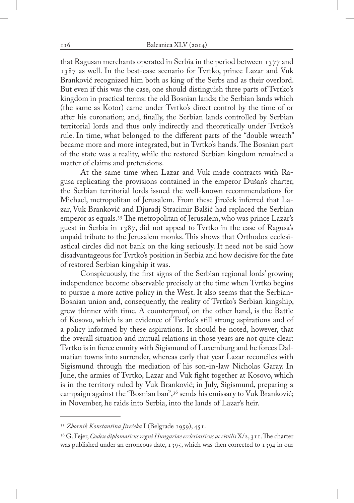that Ragusan merchants operated in Serbia in the period between 1377 and 1387 as well. In the best-case scenario for Tvrtko, prince Lazar and Vuk Branković recognized him both as king of the Serbs and as their overlord. But even if this was the case, one should distinguish three parts of Tvrtko's kingdom in practical terms: the old Bosnian lands; the Serbian lands which (the same as Kotor) came under Tvrtko's direct control by the time of or after his coronation; and, finally, the Serbian lands controlled by Serbian territorial lords and thus only indirectly and theoretically under Tvrtko's rule. In time, what belonged to the different parts of the "double wreath" became more and more integrated, but in Tvrtko's hands. The Bosnian part of the state was a reality, while the restored Serbian kingdom remained a matter of claims and pretensions.

At the same time when Lazar and Vuk made contracts with Ragusa replicating the provisions contained in the emperor Dušan's charter, the Serbian territorial lords issued the well-known recommendations for Michael, metropolitan of Jerusalem. From these Jireček inferred that Lazar, Vuk Branković and Djuradj Stracimir Balšić had replaced the Serbian emperor as equals.35 The metropolitan of Jerusalem, who was prince Lazar's guest in Serbia in 1387, did not appeal to Tvrtko in the case of Ragusa's unpaid tribute to the Jerusalem monks. This shows that Orthodox ecclesiastical circles did not bank on the king seriously. It need not be said how disadvantageous for Tvrtko's position in Serbia and how decisive for the fate of restored Serbian kingship it was.

Conspicuously, the first signs of the Serbian regional lords' growing independence become observable precisely at the time when Tvrtko begins to pursue a more active policy in the West. It also seems that the Serbian-Bosnian union and, consequently, the reality of Tvrtko's Serbian kingship, grew thinner with time. A counterproof, on the other hand, is the Battle of Kosovo, which is an evidence of Tvrtko's still strong aspirations and of a policy informed by these aspirations. It should be noted, however, that the overall situation and mutual relations in those years are not quite clear: Tvrtko is in fierce enmity with Sigismund of Luxemburg and he forces Dalmatian towns into surrender, whereas early that year Lazar reconciles with Sigismund through the mediation of his son-in-law Nicholas Garay. In June, the armies of Tvrtko, Lazar and Vuk fight together at Kosovo, which is in the territory ruled by Vuk Branković; in July, Sigismund, preparing a campaign against the "Bosnian ban",36 sends his emissary to Vuk Branković; in November, he raids into Serbia, into the lands of Lazar's heir.

<sup>35</sup> *Zbornik Konstantina Jirečeka* I (Belgrade 1959), 451.

<sup>36</sup> G. Fejer, *Codex diplomaticus regni Hungariae ecclesiasticus ac civilis* X/2, 311. The charter was published under an erroneous date, 1395, which was then corrected to 1394 in our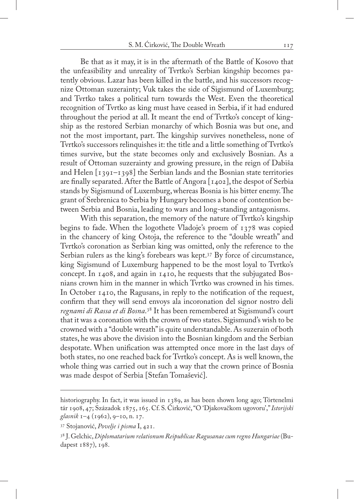Be that as it may, it is in the aftermath of the Battle of Kosovo that the unfeasibility and unreality of Tvrtko's Serbian kingship becomes patently obvious. Lazar has been killed in the battle, and his successors recognize Ottoman suzerainty; Vuk takes the side of Sigismund of Luxemburg; and Tvrtko takes a political turn towards the West. Even the theoretical recognition of Tvrtko as king must have ceased in Serbia, if it had endured throughout the period at all. It meant the end of Tvrtko's concept of kingship as the restored Serbian monarchy of which Bosnia was but one, and not the most important, part. The kingship survives nonetheless, none of Tvrtko's successors relinquishes it: the title and a little something of Tvrtko's times survive, but the state becomes only and exclusively Bosnian. As a result of Ottoman suzerainty and growing pressure, in the reign of Dabiša and Helen [1391–1398] the Serbian lands and the Bosnian state territories are finally separated. After the Battle of Angora [1402], the despot of Serbia stands by Sigismund of Luxemburg, whereas Bosnia is his bitter enemy. The grant of Srebrenica to Serbia by Hungary becomes a bone of contention between Serbia and Bosnia, leading to wars and long-standing antagonisms.

With this separation, the memory of the nature of Tvrtko's kingship begins to fade. When the logothete Vladoje's proem of 1378 was copied in the chancery of king Ostoja, the reference to the "double wreath" and Tvrtko's coronation as Serbian king was omitted, only the reference to the Serbian rulers as the king's forebears was kept.<sup>37</sup> By force of circumstance, king Sigismund of Luxemburg happened to be the most loyal to Tvrtko's concept. In 1408, and again in 1410, he requests that the subjugated Bosnians crown him in the manner in which Tvrtko was crowned in his times. In October 1410, the Ragusans, in reply to the notification of the request, confirm that they will send envoys ala incoronation del signor nostro deli *regnami di Rassa et di Bosna*. 38 It has been remembered at Sigismund's court that it was a coronation with the crown of two states. Sigismund's wish to be crowned with a "double wreath" is quite understandable. As suzerain of both states, he was above the division into the Bosnian kingdom and the Serbian despotate. When unification was attempted once more in the last days of both states, no one reached back for Tvrtko's concept. As is well known, the whole thing was carried out in such a way that the crown prince of Bosnia was made despot of Serbia [Stefan Tomašević].

historiography. In fact, it was issued in 1389, as has been shown long ago; Törtenelmi tár 1908, 47; Századok 1875, 165. Cf. S. Ćirković, "O 'Djakovačkom ugovoru'," *Istorijski glasnik* 1–4 (1962), 9–10, n. 17.

<sup>37</sup> Stojanović, *Povelje i pisma* I, 421.

<sup>38</sup> J. Gelchic, *Diplomatarium relationum Reipublicae Ragusanae cum regno Hungariae* (Budapest 1887), 198.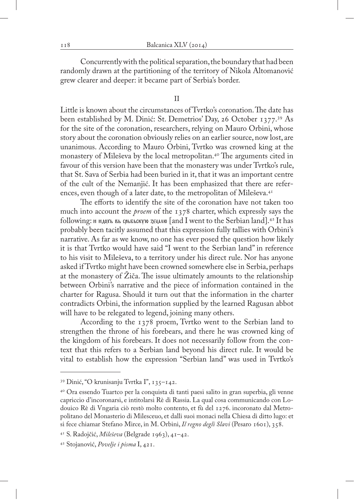Concurrently with the political separation, the boundary that had been randomly drawn at the partitioning of the territory of Nikola Altomanović grew clearer and deeper: it became part of Serbia's border.

#### II

Little is known about the circumstances of Tvrtko's coronation. The date has been established by M. Dinić: St. Demetrios' Day, 26 October 1377.39 As for the site of the coronation, researchers, relying on Mauro Orbini, whose story about the coronation obviously relies on an earlier source, now lost, are unanimous. According to Mauro Orbini, Tvrtko was crowned king at the monastery of Mileševa by the local metropolitan.40 The arguments cited in favour of this version have been that the monastery was under Tvrtko's rule, that St. Sava of Serbia had been buried in it, that it was an important centre of the cult of the Nemanjić. It has been emphasized that there are references, even though of a later date, to the metropolitan of Mileševa.<sup>41</sup>

The efforts to identify the site of the coronation have not taken too much into account the *proem* of the 1378 charter, which expressly says the following:  $\mu$   $\mu$ <sub>40</sub> $\mu$ <sub>5</sub>  $\mu$ <sub>56556670</sub> zewa fand I went to the Serbian land].<sup>42</sup> It has probably been tacitly assumed that this expression fully tallies with Orbini's narrative. As far as we know, no one has ever posed the question how likely it is that Tvrtko would have said "I went to the Serbian land" in reference to his visit to Mileševa, to a territory under his direct rule. Nor has anyone asked if Tvrtko might have been crowned somewhere else in Serbia, perhaps at the monastery of Žiča. The issue ultimately amounts to the relationship between Orbini's narrative and the piece of information contained in the charter for Ragusa. Should it turn out that the information in the charter contradicts Orbini, the information supplied by the learned Ragusan abbot will have to be relegated to legend, joining many others.

According to the 1378 proem, Tvrtko went to the Serbian land to strengthen the throne of his forebears, and there he was crowned king of the kingdom of his forebears. It does not necessarily follow from the context that this refers to a Serbian land beyond his direct rule. It would be vital to establish how the expression "Serbian land" was used in Tvrtko's

<sup>39</sup> Dinić, "O krunisanju Tvrtka I", 135–142.

<sup>40</sup> Ora essendo Tuartco per la conquista di tanti paesi salito in gran superbia, gli venne capriccio d'incoronarsi, e intitolarsi Rè di Rassia. La qual cosa communicando con Lodouico Rè di Vngaria ciò restò molto contento, et fù del 1276. incoronato dal Metropolitano del Monasterio di Milesceuo, et dalli suoi monaci nella Chiesa di ditto lugo: et si fece chiamar Stefano Mirce, in M. Orbini, *Il regno degli Slavi* (Pesaro 1601), 358.

<sup>41</sup> S. Radojčić, *Mileševa* (Belgrade 1963), 41–42.

<sup>42</sup> Stojanović, *Povelje i pisma* I, 421.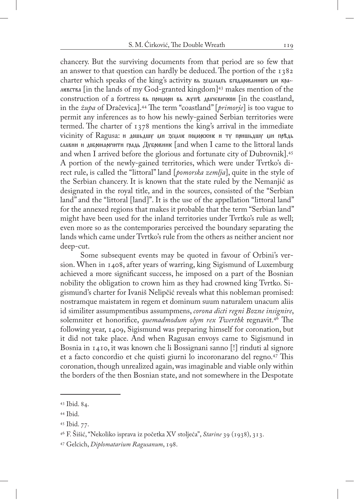chancery. But the surviving documents from that period are so few that an answer to that question can hardly be deduced. The portion of the 1382 charter which speaks of the king's activity вы землия в годарованного ми кра- $\Delta$ HERCTBA [in the lands of my God-granted kingdom]<sup>43</sup> makes mention of the construction of a fortress вы примори вы жупе драчевичкой [in the coastland, in the *župa* of Dračevica].44 The term "coastland" [*primorje*] is too vague to permit any inferences as to how his newly-gained Serbian territories were termed. The charter of 1378 mentions the king's arrival in the immediate vicinity of Ragusa: и дошьдшу ди зедле подорские и ту пришьдшу ди предь  $\alpha$ авни и добронарочити градь Дубровник [and when I came to the littoral lands and when I arrived before the glorious and fortunate city of Dubrovnik].45 A portion of the newly-gained territories, which were under Tvrtko's direct rule, is called the "littoral" land [*pomorska zemlja*], quite in the style of the Serbian chancery. It is known that the state ruled by the Nemanjić as designated in the royal title, and in the sources, consisted of the "Serbian land" and the "littoral [land]". It is the use of the appellation "littoral land" for the annexed regions that makes it probable that the term "Serbian land" might have been used for the inland territories under Tvrtko's rule as well; even more so as the contemporaries perceived the boundary separating the lands which came under Tvrtko's rule from the others as neither ancient nor deep-cut.

Some subsequent events may be quoted in favour of Orbini's version. When in 1408, after years of warring, king Sigismund of Luxemburg achieved a more significant success, he imposed on a part of the Bosnian nobility the obligation to crown him as they had crowned king Tvrtko. Sigismund's charter for Ivaniš Nelipčić reveals what this nobleman promised: nostramque maistatem in regem et dominum suum naturalem unacum aliis id similiter assumpmentibus assumpmens, *corona dicti regni Bozne insignire*, solemniter et honorifice, *quemadmodum olym rex Twerthk* regnavit.46 The following year, 1409, Sigismund was preparing himself for coronation, but it did not take place. And when Ragusan envoys came to Sigismund in Bosnia in 1410, it was known che li Bossignani sanno [!] rinduti al signore et a facto concordio et che quisti giurni lo incoronarano del regno.47 This coronation, though unrealized again, was imaginable and viable only within the borders of the then Bosnian state, and not somewhere in the Despotate

<sup>43</sup> Ibid. 84.

<sup>44</sup> Ibid.

<sup>45</sup> Ibid. 77.

<sup>46</sup> F. Šišić, "Nekoliko isprava iz početka XV stoljeća", *Starine* 39 (1938), 313.

<sup>47</sup> Gelcich, *Diplomatarium Ragusanum*, 198.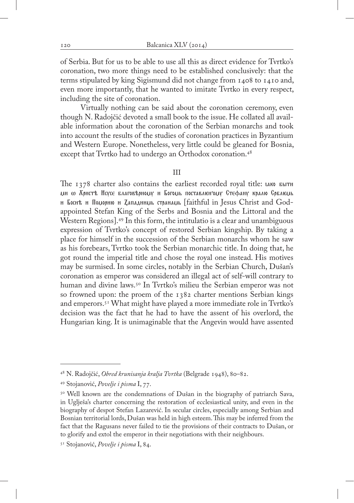of Serbia. But for us to be able to use all this as direct evidence for Tvrtko's coronation, two more things need to be established conclusively: that the terms stipulated by king Sigismund did not change from 1408 to 1410 and, even more importantly, that he wanted to imitate Tvrtko in every respect, including the site of coronation.

Virtually nothing can be said about the coronation ceremony, even though N. Radojčić devoted a small book to the issue. He collated all available information about the coronation of the Serbian monarchs and took into account the results of the studies of coronation practices in Byzantium and Western Europe. Nonetheless, very little could be gleaned for Bosnia, except that Tvrtko had to undergo an Orthodox coronation.<sup>48</sup>

#### III

The  $1378$  charter also contains the earliest recorded royal title:  $\mu$ ко бытн ми ω Χρистъ Исусе благовърному и Богомь поставлютому Стефану кралю Срблюмь н Боснъ н Поцорню н Дападннць странаць [faithful in Jesus Christ and Godappointed Stefan King of the Serbs and Bosnia and the Littoral and the Western Regions].49 In this form, the intitulatio is a clear and unambiguous expression of Tvrtko's concept of restored Serbian kingship. By taking a place for himself in the succession of the Serbian monarchs whom he saw as his forebears, Tvrtko took the Serbian monarchic title. In doing that, he got round the imperial title and chose the royal one instead. His motives may be surmised. In some circles, notably in the Serbian Church, Dušan's coronation as emperor was considered an illegal act of self-will contrary to human and divine laws.<sup>50</sup> In Tyrtko's milieu the Serbian emperor was not so frowned upon: the proem of the 1382 charter mentions Serbian kings and emperors.51 What might have played a more immediate role in Tvrtko's decision was the fact that he had to have the assent of his overlord, the Hungarian king. It is unimaginable that the Angevin would have assented

<sup>48</sup> N. Radojčić, *Obred krunisanja kralja Tvrtka* (Belgrade 1948), 80–82.

<sup>49</sup> Stojanović, *Povelje i pisma* I, 77.

<sup>&</sup>lt;sup>50</sup> Well known are the condemnations of Dušan in the biography of patriarch Sava, in Uglješa's charter concerning the restoration of ecclesiastical unity, and even in the biography of despot Stefan Lazarević. In secular circles, especially among Serbian and Bosnian territorial lords, Dušan was held in high esteem. This may be inferred from the fact that the Ragusans never failed to tie the provisions of their contracts to Dušan, or to glorify and extol the emperor in their negotiations with their neighbours.

<sup>51</sup> Stojanović, *Povelje i pisma* I, 84.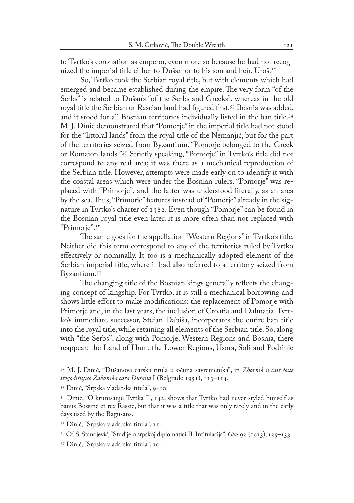to Tvrtko's coronation as emperor, even more so because he had not recognized the imperial title either to Dušan or to his son and heir, Uroš.<sup>52</sup>

So, Tvrtko took the Serbian royal title, but with elements which had emerged and became established during the empire. The very form "of the Serbs" is related to Dušan's "of the Serbs and Greeks", whereas in the old royal title the Serbian or Rascian land had figured first.<sup>53</sup> Bosnia was added, and it stood for all Bosnian territories individually listed in the ban title.<sup>54</sup> M. J. Dinić demonstrated that "Pomorje" in the imperial title had not stood for the "littoral lands" from the royal title of the Nemanjić, but for the part of the territories seized from Byzantium. "Pomorje belonged to the Greek or Romaion lands."55 Strictly speaking, "Pomorje" in Tvrtko's title did not correspond to any real area; it was there as a mechanical reproduction of the Serbian title. However, attempts were made early on to identify it with the coastal areas which were under the Bosnian rulers. "Pomorje" was replaced with "Primorje", and the latter was understood literally, as an area by the sea. Thus, "Primorje" features instead of "Pomorje" already in the signature in Tvrtko's charter of 1382. Even though "Pomorje" can be found in the Bosnian royal title even later, it is more often than not replaced with "Primorje".56

The same goes for the appellation "Western Regions" in Tvrtko's title. Neither did this term correspond to any of the territories ruled by Tvrtko effectively or nominally. It too is a mechanically adopted element of the Serbian imperial title, where it had also referred to a territory seized from Byzantium.57

The changing title of the Bosnian kings generally reflects the changing concept of kingship. For Tvrtko, it is still a mechanical borrowing and shows little effort to make modifications: the replacement of Pomorje with Primorje and, in the last years, the inclusion of Croatia and Dalmatia. Tvrtko's immediate successor, Stefan Dabiša, incorporates the entire ban title into the royal title, while retaining all elements of the Serbian title. So, along with "the Serbs", along with Pomorje, Western Regions and Bosnia, there reappear: the Land of Hum, the Lower Regions, Usora, Soli and Podrinje

<sup>52</sup> M. J. Dinić, "Dušanova carska titula u očima savremenika", in *Zbornik u čast šeste stogodišnjice Zakonika cara Dušana* I (Belgrade 1951), 113–114.

<sup>53</sup> Dinić, "Srpska vladarska titula", 9–10.

<sup>54</sup> Dinić, "O krunisanju Tvrtka I", 142, shows that Tvrtko had never styled himself as banus Bossine et rex Rassie, but that it was a title that was only rarely and in the early days used by the Ragusans.

<sup>55</sup> Dinić, "Srpska vladarska titula", 11.

<sup>56</sup> Cf. S. Stanojević, "Studije o srpskoj diplomatici II. Intitulacija", *Glas* 92 (1913), 125–133.

<sup>57</sup> Dinić, "Srpska vladarska titula", 10.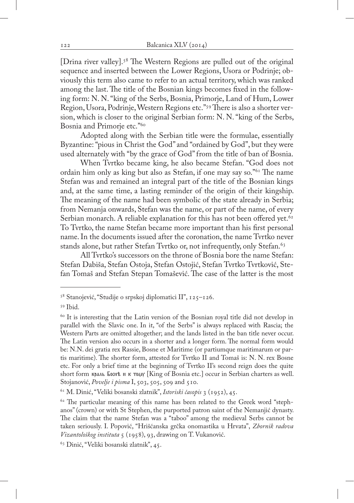[Drina river valley].58 The Western Regions are pulled out of the original sequence and inserted between the Lower Regions, Usora or Podrinje; obviously this term also came to refer to an actual territory, which was ranked among the last. The title of the Bosnian kings becomes fixed in the following form: N. N. "king of the Serbs, Bosnia, Primorje, Land of Hum, Lower Region, Usora, Podrinje, Western Regions etc."59 There is also a shorter version, which is closer to the original Serbian form: N. N. "king of the Serbs, Bosnia and Primorje etc."60

Adopted along with the Serbian title were the formulae, essentially Byzantine: "pious in Christ the God" and "ordained by God", but they were used alternately with "by the grace of God" from the title of ban of Bosnia.

When Tvrtko became king, he also became Stefan. "God does not ordain him only as king but also as Stefan, if one may say so."61 The name Stefan was and remained an integral part of the title of the Bosnian kings and, at the same time, a lasting reminder of the origin of their kingship. The meaning of the name had been symbolic of the state already in Serbia; from Nemanja onwards, Stefan was the name, or part of the name, of every Serbian monarch. A reliable explanation for this has not been offered yet.<sup>62</sup> To Tvrtko, the name Stefan became more important than his first personal name. In the documents issued after the coronation, the name Tvrtko never stands alone, but rather Stefan Tvrtko or, not infrequently, only Stefan.<sup>63</sup>

All Tvrtko's successors on the throne of Bosnia bore the name Stefan: Stefan Dabiša, Stefan Ostoja, Stefan Ostojić, Stefan Tvrtko Tvrtković, Stefan Tomaš and Stefan Stepan Tomašević. The case of the latter is the most

<sup>58</sup> Stanojević, "Studije o srpskoj diplomatici II", 125–126.

<sup>59</sup> Ibid.

<sup>&</sup>lt;sup>60</sup> It is interesting that the Latin version of the Bosnian royal title did not develop in parallel with the Slavic one. In it, "of the Serbs" is always replaced with Rascia; the Western Parts are omitted altogether; and the lands listed in the ban title never occur. The Latin version also occurs in a shorter and a longer form. The normal form would be: N.N. dei gratia rex Rassie, Bosne et Maritime (or partiumque maritimarum or partis maritime). The shorter form, attested for Tvrtko II and Tomaš is: N. N. rex Bosne etc. For only a brief time at the beginning of Tvrtko II's second reign does the quite short form краль Босне н к тому [King of Bosnia etc.] occur in Serbian charters as well. Stojanović, *Povelje i pisma* I, 503, 505, 509 and 510.

<sup>61</sup> M. Dinić, "Veliki bosanski zlatnik", *Istoriski časopis* 3 (1952), 45.

 $62$  The particular meaning of this name has been related to the Greek word "stephanos" (crown) or with St Stephen, the purported patron saint of the Nemanjić dynasty. The claim that the name Stefan was a "taboo" among the medieval Serbs cannot be taken seriously. I. Popović, "Hrišćanska grčka onomastika u Hrvata", *Zbornik radova Vizantološkog instituta* 5 (1958), 93, drawing on T. Vukanović.

<sup>63</sup> Dinić, "Veliki bosanski zlatnik", 45.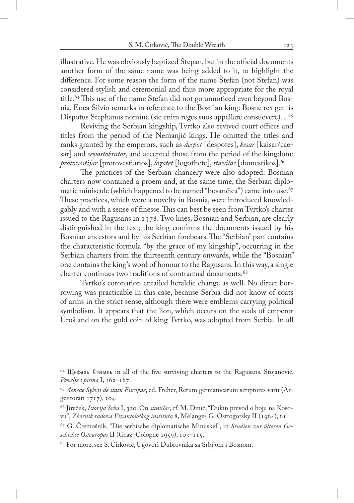illustrative. He was obviously baptized Stepan, but in the official documents another form of the same name was being added to it, to highlight the difference. For some reason the form of the name Štefan (not Stefan) was considered stylish and ceremonial and thus more appropriate for the royal title.<sup>64</sup> This use of the name Stefan did not go unnoticed even beyond Bosnia. Enea Silvio remarks in reference to the Bosnian king: Bosne rex gentis Dispotus Stephanus nomine (sic enim reges suos appellare consuevere)…<sup>65</sup>

Reviving the Serbian kingship, Tvrtko also revived court offices and titles from the period of the Nemanjić kings. He omitted the titles and ranks granted by the emperors, such as *despot* [despotes], *kesar* [kaisar/caesar] and *sevastokrator*, and accepted those from the period of the kingdom: *protovestijar* [protovestiarios], *logotet* [logothete], *stavilac* [domestikos].66

The practices of the Serbian chancery were also adopted: Bosnian charters now contained a proem and, at the same time, the Serbian diplomatic miniscule (which happened to be named "bosančica") came into use.<sup>67</sup> These practices, which were a novelty in Bosnia, were introduced knowledgably and with a sense of finesse. This can best be seen from Tvrtko's charter issued to the Ragusans in 1378. Two lines, Bosnian and Serbian, are clearly distinguished in the text; the king confirms the documents issued by his Bosnian ancestors and by his Serbian forebears. The "Serbian" part contains the characteristic formula "by the grace of my kingship", occurring in the Serbian charters from the thirteenth century onwards, while the "Bosnian" one contains the king's word of honour to the Ragusans. In this way, a single charter continues two traditions of contractual documents.<sup>68</sup>

Tvrtko's coronation entailed heraldic change as well. No direct borrowing was practicable in this case, because Serbia did not know of coats of arms in the strict sense, although there were emblems carrying political symbolism. It appears that the lion, which occurs on the seals of emperor Uroš and on the gold coin of king Tvrtko, was adopted from Serbia. In all

 $64$  Щефань Степань in all of the five surviving charters to the Ragusans. Stojanović, *Povelje i pisma* I, 162–167.

<sup>65</sup> *Aeneae Sylvii de statu Europae*, ed. Freher, Rerum germanicarum scriptores varii (Argentorati 1717), 104.

<sup>66</sup> Jireček, *Istorija Srba* I, 320. On *stavilac*, cf. M. Dinić, "Dukin prevod o boju na Kosovu", *Zbornik radova Vizantološkog instituta* 8, Mélanges G. Ostrogorsky II (1964), 61.

<sup>67</sup> G. Čremošnik, "Die serbische diplomatische Minuskel", in *Studien zur älteren Geschichte Osteuropas* II (Graz–Cologne 1959), 103–115.

<sup>68</sup> For more, see S. Ćirković, Ugovori Dubrovnika sa Srbijom i Bosnom.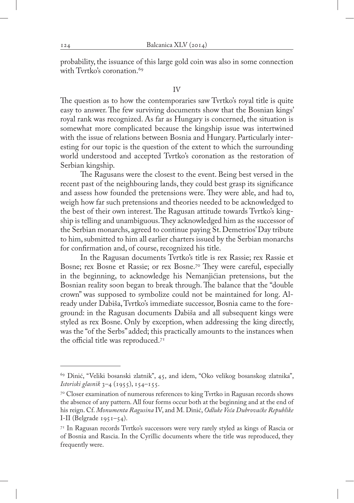probability, the issuance of this large gold coin was also in some connection with Tyrtko's coronation.<sup>69</sup>

#### IV

The question as to how the contemporaries saw Tvrtko's royal title is quite easy to answer. The few surviving documents show that the Bosnian kings' royal rank was recognized. As far as Hungary is concerned, the situation is somewhat more complicated because the kingship issue was intertwined with the issue of relations between Bosnia and Hungary. Particularly interesting for our topic is the question of the extent to which the surrounding world understood and accepted Tvrtko's coronation as the restoration of Serbian kingship.

The Ragusans were the closest to the event. Being best versed in the recent past of the neighbouring lands, they could best grasp its significance and assess how founded the pretensions were. They were able, and had to, weigh how far such pretensions and theories needed to be acknowledged to the best of their own interest. The Ragusan attitude towards Tvrtko's kingship is telling and unambiguous. They acknowledged him as the successor of the Serbian monarchs, agreed to continue paying St. Demetrios' Day tribute to him, submitted to him all earlier charters issued by the Serbian monarchs for confirmation and, of course, recognized his title.

In the Ragusan documents Tvrtko's title is rex Rassie; rex Rassie et Bosne; rex Bosne et Rassie; or rex Bosne.<sup>70</sup> They were careful, especially in the beginning, to acknowledge his Nemanjićian pretensions, but the Bosnian reality soon began to break through. The balance that the "double crown" was supposed to symbolize could not be maintained for long. Already under Dabiša, Tvrtko's immediate successor, Bosnia came to the foreground: in the Ragusan documents Dabiša and all subsequent kings were styled as rex Bosne. Only by exception, when addressing the king directly, was the "of the Serbs" added; this practically amounts to the instances when the official title was reproduced.71

<sup>69</sup> Dinić, "Veliki bosanski zlatnik", 45, and idem, "Oko velikog bosanskog zlatnika", *Istoriski glasnik* 3–4 (1955), 154–155.

<sup>&</sup>lt;sup>70</sup> Closer examination of numerous references to king Tvrtko in Ragusan records shows the absence of any pattern. All four forms occur both at the beginning and at the end of his reign. Cf. *Monumenta Ragusina* IV, and M. Dinić, *Odluke Veća Dubrovačke Republike*  I-II (Belgrade  $1951-54$ ).

<sup>71</sup> In Ragusan records Tvrtko's successors were very rarely styled as kings of Rascia or of Bosnia and Rascia. In the Cyrillic documents where the title was reproduced, they frequently were.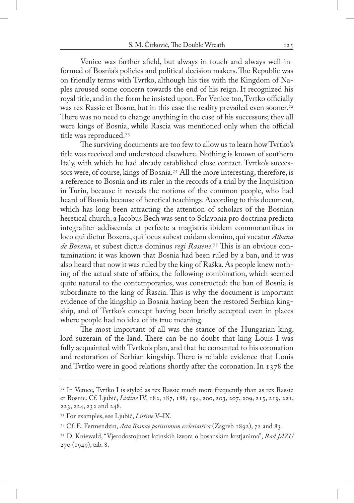Venice was farther afield, but always in touch and always well-informed of Bosnia's policies and political decision makers. The Republic was on friendly terms with Tvrtko, although his ties with the Kingdom of Naples aroused some concern towards the end of his reign. It recognized his royal title, and in the form he insisted upon. For Venice too, Tvrtko officially was rex Rassie et Bosne, but in this case the reality prevailed even sooner.<sup>72</sup> There was no need to change anything in the case of his successors; they all were kings of Bosnia, while Rascia was mentioned only when the official title was reproduced.73

The surviving documents are too few to allow us to learn how Tvrtko's title was received and understood elsewhere. Nothing is known of southern Italy, with which he had already established close contact. Tvrtko's successors were, of course, kings of Bosnia.74 All the more interesting, therefore, is a reference to Bosnia and its ruler in the records of a trial by the Inquisition in Turin, because it reveals the notions of the common people, who had heard of Bosnia because of heretical teachings. According to this document, which has long been attracting the attention of scholars of the Bosnian heretical church, a Jacobus Bech was sent to Sclavonia pro doctrina predicta integraliter addiscenda et perfecte a magistris ibidem commorantibus in loco qui dictur Boxena, qui locus subest cuidam domino, qui vocatur *Albana de Boxena*, et subest dictus dominus *regi Rassene*. 75 This is an obvious contamination: it was known that Bosnia had been ruled by a ban, and it was also heard that now it was ruled by the king of Raška. As people knew nothing of the actual state of affairs, the following combination, which seemed quite natural to the contemporaries, was constructed: the ban of Bosnia is subordinate to the king of Rascia. This is why the document is important evidence of the kingship in Bosnia having been the restored Serbian kingship, and of Tvrtko's concept having been briefly accepted even in places where people had no idea of its true meaning.

The most important of all was the stance of the Hungarian king, lord suzerain of the land. There can be no doubt that king Louis I was fully acquainted with Tvrtko's plan, and that he consented to his coronation and restoration of Serbian kingship. There is reliable evidence that Louis and Tvrtko were in good relations shortly after the coronation. In 1378 the

 $7<sup>2</sup>$  In Venice, Tvrtko I is styled as rex Rassie much more frequently than as rex Rassie et Bosnie. Cf. Ljubić, *Listine* IV, 182, 187, 188, 194, 200, 203, 207, 209, 215, 219, 221, 223, 224, 232 and 248.

<sup>73</sup> For examples, see Ljubić, *Listine* V–IX.

<sup>74</sup> Cf. E. Fermendzin, *Acta Bosnae potissimum ecclesiastica* (Zagreb 1892), 72 and 83.

<sup>75</sup> D. Kniewald, "Vjerodostojnost latinskih izvora o bosanskim krstjanima", *Rad JAZU*  270 (1949), tab. 8.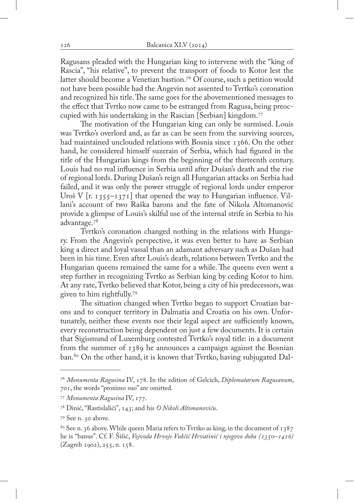Ragusans pleaded with the Hungarian king to intervene with the "king of Rascia", "his relative", to prevent the transport of foods to Kotor lest the latter should become a Venetian bastion.<sup>76</sup> Of course, such a petition would not have been possible had the Angevin not assented to Tvrtko's coronation and recognized his title. The same goes for the abovementioned messages to the effect that Tvrtko now came to be estranged from Ragusa, being preoccupied with his undertaking in the Rascian [Serbian] kingdom.77

The motivation of the Hungarian king can only be surmised. Louis was Tvrtko's overlord and, as far as can be seen from the surviving sources, had maintained unclouded relations with Bosnia since 1366. On the other hand, he considered himself suzerain of Serbia, which had figured in the title of the Hungarian kings from the beginning of the thirteenth century. Louis had no real influence in Serbia until after Dušan's death and the rise of regional lords. During Dušan's reign all Hungarian attacks on Serbia had failed, and it was only the power struggle of regional lords under emperor Uroš V  $[r. 1355 - 1371]$  that opened the way to Hungarian influence. Villani's account of two Raška barons and the fate of Nikola Altomanović provide a glimpse of Louis's skilful use of the internal strife in Serbia to his advantage.78

Tvrtko's coronation changed nothing in the relations with Hungary. From the Angevin's perspective, it was even better to have as Serbian king a direct and loyal vassal than an adamant adversary such as Dušan had been in his time. Even after Louis's death, relations between Tvrtko and the Hungarian queens remained the same for a while. The queens even went a step further in recognizing Tvrtko as Serbian king by ceding Kotor to him. At any rate, Tvrtko believed that Kotor, being a city of his predecessors, was given to him rightfully.79

The situation changed when Tvrtko began to support Croatian barons and to conquer territory in Dalmatia and Croatia on his own. Unfortunately, neither these events nor their legal aspect are sufficiently known, every reconstruction being dependent on just a few documents. It is certain that Sigismund of Luxemburg contested Tvrtko's royal title: in a document from the summer of 1389 he announces a campaign against the Bosnian ban.<sup>80</sup> On the other hand, it is known that Tvrtko, having subjugated Dal-

<sup>76</sup> *Monumenta Ragusina* IV, 178. In the edition of Gelcich, *Diplomatarum Ragusanum*, 701, the words "proximo suo" are omitted.

<sup>77</sup> *Monumenta Ragusina* IV, 177.

<sup>78</sup> Dinić, "Rastislalići", 143; and his *O Nikoli Altomanoviću*.

<sup>79</sup> See n. 30 above.

<sup>&</sup>lt;sup>80</sup> See n. 36 above. While queen Maria refers to Tvrtko as king, in the document of  $1387$ he is "banus". Cf. F. Šišić, *Vojvoda Hrvoje Vukčić Hrvatinić i njegovo doba (1350–1416)* (Zagreb 1902), 255, n. 158.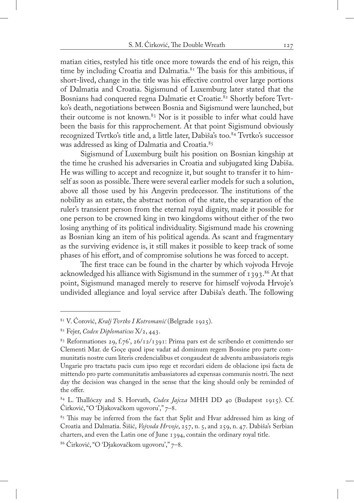matian cities, restyled his title once more towards the end of his reign, this time by including Croatia and Dalmatia.<sup>81</sup> The basis for this ambitious, if short-lived, change in the title was his effective control over large portions of Dalmatia and Croatia. Sigismund of Luxemburg later stated that the Bosnians had conquered regna Dalmatie et Croatie.<sup>82</sup> Shortly before Tvrtko's death, negotiations between Bosnia and Sigismund were launched, but their outcome is not known.83 Nor is it possible to infer what could have been the basis for this rapprochement. At that point Sigismund obviously recognized Tvrtko's title and, a little later, Dabiša's too.<sup>84</sup> Tvrtko's successor was addressed as king of Dalmatia and Croatia.<sup>85</sup>

Sigismund of Luxemburg built his position on Bosnian kingship at the time he crushed his adversaries in Croatia and subjugated king Dabiša. He was willing to accept and recognize it, but sought to transfer it to himself as soon as possible. There were several earlier models for such a solution, above all those used by his Angevin predecessor. The institutions of the nobility as an estate, the abstract notion of the state, the separation of the ruler's transient person from the eternal royal dignity, made it possible for one person to be crowned king in two kingdoms without either of the two losing anything of its political individuality. Sigismund made his crowning as Bosnian king an item of his political agenda. As scant and fragmentary as the surviving evidence is, it still makes it possible to keep track of some phases of his effort, and of compromise solutions he was forced to accept.

The first trace can be found in the charter by which vojvoda Hrvoje acknowledged his alliance with Sigismund in the summer of  $1393$ .<sup>86</sup> At that point, Sigismund managed merely to reserve for himself vojvoda Hrvoje's undivided allegiance and loyal service after Dabiša's death. The following

<sup>81</sup> V. Ćorović, *Kralj Tvrtko I Kotromanić* (Belgrade 1925).

<sup>82</sup> Fejer, *Codex Diplomaticus* X/2, 443.

<sup>83</sup> Reformationes 29, f.76', 26/12/1391: Prima pars est de scribendo et comittendo ser Clementi Mar. de Goçe quod ipse vadat ad dominum regem Bossine pro parte communitatis nostre cum literis credencialibus et congaudeat de adventu ambassiatoris regis Ungarie pro tractatu pacis cum ipso rege et recordari eidem de oblacione ipsi facta de mittendo pro parte communitatis ambassiatores ad expensas communis nostri. The next day the decision was changed in the sense that the king should only be reminded of the offer.

<sup>84</sup> L. Thallóczy and S. Horvath, *Codex Jajcza* MHH DD 40 (Budapest 1915). Cf. Ćirković, "O 'Djakovačkom ugovoru'," 7–8.

<sup>&</sup>lt;sup>85</sup> This may be inferred from the fact that Split and Hvar addressed him as king of Croatia and Dalmatia. Šišić, *Vojvoda Hrvoje*, 257, n. 5, and 259, n. 47. Dabiša's Serbian charters, and even the Latin one of June 1394, contain the ordinary royal title.

<sup>86</sup> Ćirković, "O 'Djakovačkom ugovoru'," 7–8.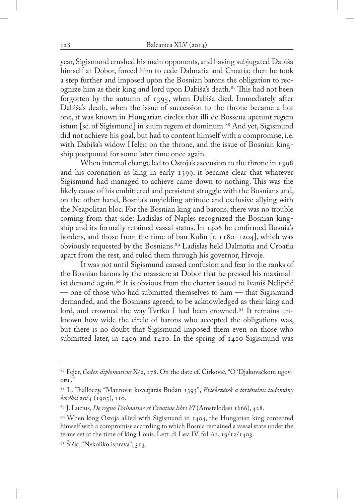year, Sigismund crushed his main opponents, and having subjugated Dabiša himself at Dobor, forced him to cede Dalmatia and Croatia; then he took a step further and imposed upon the Bosnian barons the obligation to recognize him as their king and lord upon Dabiša's death.<sup>87</sup> This had not been forgotten by the autumn of 1395, when Dabiša died. Immediately after Dabiša's death, when the issue of succession to the throne became a hot one, it was known in Hungarian circles that illi de Bossena apetunt regem istum [sc. of Sigismund] in suum regem et dominum.<sup>88</sup> And yet, Sigismund did not achieve his goal, but had to content himself with a compromise, i.e. with Dabiša's widow Helen on the throne, and the issue of Bosnian kingship postponed for some later time once again.

When internal change led to Ostoja's ascension to the throne in 1398 and his coronation as king in early 1399, it became clear that whatever Sigismund had managed to achieve came down to nothing. This was the likely cause of his embittered and persistent struggle with the Bosnians and, on the other hand, Bosnia's unyielding attitude and exclusive allying with the Neapolitan bloc. For the Bosnian king and barons, there was no trouble coming from that side: Ladislas of Naples recognized the Bosnian kingship and its formally retained vassal status. In 1406 he confirmed Bosnia's borders, and those from the time of ban Kulin [r. 1180–1204], which was obviously requested by the Bosnians.<sup>89</sup> Ladislas held Dalmatia and Croatia apart from the rest, and ruled them through his governor, Hrvoje.

It was not until Sigismund caused confusion and fear in the ranks of the Bosnian barons by the massacre at Dobor that he pressed his maximalist demand again.90 It is obvious from the charter issued to Ivaniš Nelipčić — one of those who had submitted themselves to him — that Sigismund demanded, and the Bosnians agreed, to be acknowledged as their king and lord, and crowned the way Tvrtko I had been crowned.<sup>91</sup> It remains unknown how wide the circle of barons who accepted the obligations was, but there is no doubt that Sigismund imposed them even on those who submitted later, in 1409 and 1410. In the spring of 1410 Sigismund was

<sup>87</sup> Fejer, *Codex diplomaticus* X/2, 178. On the date cf. Ćirković, "O 'Djakovačkom ugovoru'."

<sup>88</sup> L. Thallóczy, "Mantovai követjárás Budán 1395", *Ertekezések a történelmi tudomány köréböl* 20/4 (1905), 110.

<sup>89</sup> J. Lucius, *De regno Dalmatiae et Croatiae libri VI* (Amstelodasi 1666), 428.

<sup>90</sup> When king Ostoja allied with Sigismund in 1404, the Hungarian king contented himself with a compromise according to which Bosnia remained a vassal state under the terms set at the time of king Louis. Lett. di Lev. IV, fol. 61, 19/12/1403.

<sup>91</sup> Šišić, "Nekoliko isprava", 313.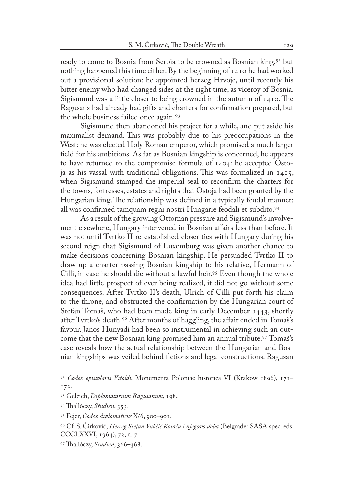ready to come to Bosnia from Serbia to be crowned as Bosnian king,<sup>92</sup> but nothing happened this time either. By the beginning of 1410 he had worked out a provisional solution: he appointed herzeg Hrvoje, until recently his bitter enemy who had changed sides at the right time, as viceroy of Bosnia. Sigismund was a little closer to being crowned in the autumn of 1410. The Ragusans had already had gifts and charters for confirmation prepared, but the whole business failed once again.93

Sigismund then abandoned his project for a while, and put aside his maximalist demand. This was probably due to his preoccupations in the West: he was elected Holy Roman emperor, which promised a much larger field for his ambitions. As far as Bosnian kingship is concerned, he appears to have returned to the compromise formula of 1404: he accepted Ostoja as his vassal with traditional obligations. This was formalized in 1415, when Sigismund stamped the imperial seal to reconfirm the charters for the towns, fortresses, estates and rights that Ostoja had been granted by the Hungarian king. The relationship was defined in a typically feudal manner: all was confirmed tamquam regni nostri Hungarie feodali et subdito.94

As a result of the growing Ottoman pressure and Sigismund's involvement elsewhere, Hungary intervened in Bosnian affairs less than before. It was not until Tvrtko II re-established closer ties with Hungary during his second reign that Sigismund of Luxemburg was given another chance to make decisions concerning Bosnian kingship. He persuaded Tvrtko II to draw up a charter passing Bosnian kingship to his relative, Hermann of Cilli, in case he should die without a lawful heir.95 Even though the whole idea had little prospect of ever being realized, it did not go without some consequences. After Tvrtko II's death, Ulrich of Cilli put forth his claim to the throne, and obstructed the confirmation by the Hungarian court of Stefan Tomaš, who had been made king in early December 1443, shortly after Tvrtko's death.96 After months of haggling, the affair ended in Tomaš's favour. Janos Hunyadi had been so instrumental in achieving such an outcome that the new Bosnian king promised him an annual tribute.<sup>97</sup> Tomas's case reveals how the actual relationship between the Hungarian and Bosnian kingships was veiled behind fictions and legal constructions. Ragusan

<sup>92</sup> *Codex epistolaris Vitoldi*, Monumenta Poloniae historica VI (Krakow 1896), 171– 172.

<sup>93</sup> Gelcich, *Diplomatarium Ragusanum*, 198.

<sup>94</sup> Thallóczy, *Studien*, 353.

<sup>95</sup> Fejer, *Codex diplomaticus* X/6, 900–901.

<sup>96</sup> Cf. S. Ćirković, *Herceg Stefan Vukčić Kosača i njegovo doba* (Belgrade: SASA spec. eds. CCCLXXVI, 1964), 72, n. 7.

<sup>97</sup> Thallóczy, *Studien*, 366–368.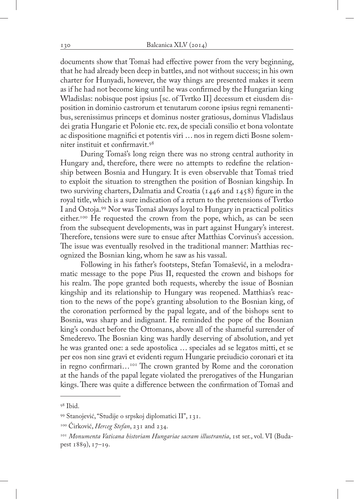documents show that Tomaš had effective power from the very beginning, that he had already been deep in battles, and not without success; in his own charter for Hunyadi, however, the way things are presented makes it seem as if he had not become king until he was confirmed by the Hungarian king Wladislas: nobisque post ipsius [sc. of Tvrtko II] decessum et eiusdem disposition in dominio castrorum et tenutarum corone ipsius regni remanentibus, serenissimus princeps et dominus noster gratiosus, dominus Vladislaus dei gratia Hungarie et Polonie etc. rex, de speciali consilio et bona volontate ac dispositione magnifici et potentis viri … nos in regem dicti Bosne solemniter instituit et confirmavit.98

During Tomaš's long reign there was no strong central authority in Hungary and, therefore, there were no attempts to redefine the relationship between Bosnia and Hungary. It is even observable that Tomaš tried to exploit the situation to strengthen the position of Bosnian kingship. In two surviving charters, Dalmatia and Croatia (1446 and 1458) figure in the royal title, which is a sure indication of a return to the pretensions of Tvrtko I and Ostoja.99 Nor was Tomaš always loyal to Hungary in practical politics either.<sup>100</sup> He requested the crown from the pope, which, as can be seen from the subsequent developments, was in part against Hungary's interest. Therefore, tensions were sure to ensue after Matthias Corvinus's accession. The issue was eventually resolved in the traditional manner: Matthias recognized the Bosnian king, whom he saw as his vassal.

Following in his father's footsteps, Stefan Tomašević, in a melodramatic message to the pope Pius II, requested the crown and bishops for his realm. The pope granted both requests, whereby the issue of Bosnian kingship and its relationship to Hungary was reopened. Matthias's reaction to the news of the pope's granting absolution to the Bosnian king, of the coronation performed by the papal legate, and of the bishops sent to Bosnia, was sharp and indignant. He reminded the pope of the Bosnian king's conduct before the Ottomans, above all of the shameful surrender of Smederevo. The Bosnian king was hardly deserving of absolution, and yet he was granted one: a sede apostolica … speciales ad se legatos mitti, et se per eos non sine gravi et evidenti regum Hungarie preiudicio coronari et ita in regno confirmari...<sup>101</sup> The crown granted by Rome and the coronation at the hands of the papal legate violated the prerogatives of the Hungarian kings. There was quite a difference between the confirmation of Tomaš and

<sup>98</sup> Ibid.

<sup>99</sup> Stanojević, "Studije o srpskoj diplomatici II", 131.

<sup>100</sup> Ćirković, *Herceg Stefan*, 231 and 234.

<sup>101</sup> *Monumenta Vaticana historiam Hungariae sacram illustrantia*, 1st ser., vol. VI (Budapest 1889), 17–19.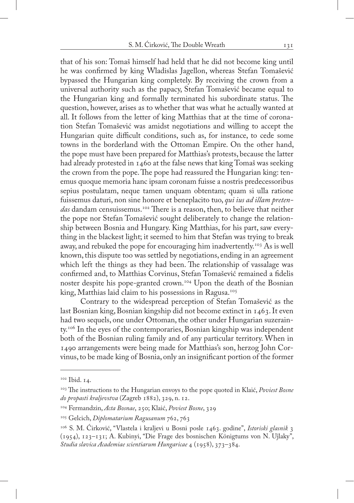that of his son: Tomaš himself had held that he did not become king until he was confirmed by king Wladislas Jagellon, whereas Stefan Tomašević bypassed the Hungarian king completely. By receiving the crown from a universal authority such as the papacy, Stefan Tomašević became equal to the Hungarian king and formally terminated his subordinate status. The question, however, arises as to whether that was what he actually wanted at all. It follows from the letter of king Matthias that at the time of coronation Stefan Tomašević was amidst negotiations and willing to accept the Hungarian quite difficult conditions, such as, for instance, to cede some towns in the borderland with the Ottoman Empire. On the other hand, the pope must have been prepared for Matthias's protests, because the latter had already protested in 1460 at the false news that king Tomaš was seeking the crown from the pope. The pope had reassured the Hungarian king: tenemus quoque memoria hanc ipsam coronam fuisse a nostris predecessoribus sepius postulatam, neque tamen unquam obtentam; quam si ulla ratione fuissemus daturi, non sine honore et beneplacito tuo, *qui ius ad illam pretendas* dandam censuissemus.102 There is a reason, then, to believe that neither the pope nor Stefan Tomašević sought deliberately to change the relationship between Bosnia and Hungary. King Matthias, for his part, saw everything in the blackest light; it seemed to him that Stefan was trying to break away, and rebuked the pope for encouraging him inadvertently.<sup>103</sup> As is well known, this dispute too was settled by negotiations, ending in an agreement which left the things as they had been. The relationship of vassalage was confirmed and, to Matthias Corvinus, Stefan Tomašević remained a fidelis noster despite his pope-granted crown.<sup>104</sup> Upon the death of the Bosnian king, Matthias laid claim to his possessions in Ragusa.<sup>105</sup>

Contrary to the widespread perception of Stefan Tomašević as the last Bosnian king, Bosnian kingship did not become extinct in 1463. It even had two sequels, one under Ottoman, the other under Hungarian suzerainty.106 In the eyes of the contemporaries, Bosnian kingship was independent both of the Bosnian ruling family and of any particular territory. When in 1490 arrangements were being made for Matthias's son, herzog John Corvinus, to be made king of Bosnia, only an insignificant portion of the former

<sup>&</sup>lt;sup>102</sup> Ibid. 14.

<sup>103</sup> The instructions to the Hungarian envoys to the pope quoted in Klaić, *Poviest Bosne do propasti kraljevstva* (Zagreb 1882), 329, n. 12.

<sup>104</sup> Fermandzin, *Acta Bosnae*, 250; Klaić, *Poviest Bosne*, 329

<sup>105</sup> Gelcich, *Diplomatarium Ragusanum* 762, 763

<sup>106</sup> S. M. Ćirković, "Vlastela i kraljevi u Bosni posle 1463. godine", *Istoriski glasnik* 3 (1954), 123–131; A. Kubinyi, "Die Frage des bosnischen Königtums von N. Ujlaky", *Studia slavica Academiae scientiarum Hungaricae* 4 (1958), 373–384.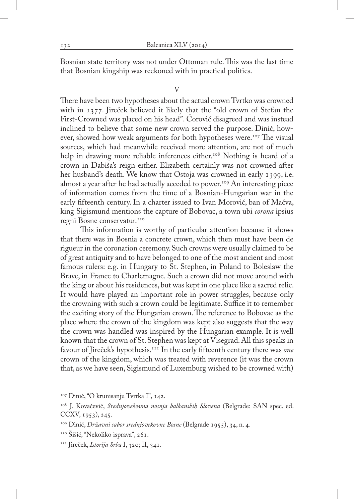Bosnian state territory was not under Ottoman rule. This was the last time that Bosnian kingship was reckoned with in practical politics.

# V

There have been two hypotheses about the actual crown Tvrtko was crowned with in 1377. Jireček believed it likely that the "old crown of Stefan the First-Crowned was placed on his head". Ćorović disagreed and was instead inclined to believe that some new crown served the purpose. Dinić, however, showed how weak arguments for both hypotheses were.<sup>107</sup> The visual sources, which had meanwhile received more attention, are not of much help in drawing more reliable inferences either.<sup>108</sup> Nothing is heard of a crown in Dabiša's reign either. Elizabeth certainly was not crowned after her husband's death. We know that Ostoja was crowned in early 1399, i.e. almost a year after he had actually acceded to power.<sup>109</sup> An interesting piece of information comes from the time of a Bosnian-Hungarian war in the early fifteenth century. In a charter issued to Ivan Morović, ban of Mačva, king Sigismund mentions the capture of Bobovac, a town ubi *corona* ipsius regni Bosne conservatur.<sup>110</sup>

This information is worthy of particular attention because it shows that there was in Bosnia a concrete crown, which then must have been de rigueur in the coronation ceremony. Such crowns were usually claimed to be of great antiquity and to have belonged to one of the most ancient and most famous rulers: e.g. in Hungary to St. Stephen, in Poland to Boleslaw the Brave, in France to Charlemagne. Such a crown did not move around with the king or about his residences, but was kept in one place like a sacred relic. It would have played an important role in power struggles, because only the crowning with such a crown could be legitimate. Suffice it to remember the exciting story of the Hungarian crown. The reference to Bobovac as the place where the crown of the kingdom was kept also suggests that the way the crown was handled was inspired by the Hungarian example. It is well known that the crown of St. Stephen was kept at Visegrad. All this speaks in favour of Jireček's hypothesis.111 In the early fifteenth century there was *one* crown of the kingdom, which was treated with reverence (it was the crown that, as we have seen, Sigismund of Luxemburg wished to be crowned with)

<sup>107</sup> Dinić, "O krunisanju Tvrtka I", 142.

<sup>108</sup> J. Kovačević, *Srednjovekovna nosnja balkanskih Slovena* (Belgrade: SAN spec. ed. CCXV, 1953), 245.

<sup>109</sup> Dinić, *Državni sabor srednjovekovne Bosne* (Belgrade 1955), 34, n. 4.

<sup>110</sup> Šišić, "Nekoliko isprava", 261.

<sup>111</sup> Jireček, *Istorija Srba* I, 320; II, 341.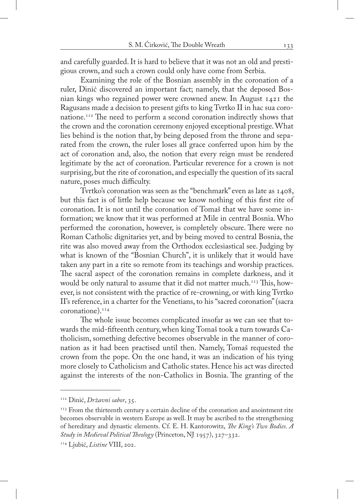and carefully guarded. It is hard to believe that it was not an old and prestigious crown, and such a crown could only have come from Serbia.

Examining the role of the Bosnian assembly in the coronation of a ruler, Dinić discovered an important fact; namely, that the deposed Bosnian kings who regained power were crowned anew. In August 1421 the Ragusans made a decision to present gifts to king Tvrtko II in hac sua coronatione.112 The need to perform a second coronation indirectly shows that the crown and the coronation ceremony enjoyed exceptional prestige. What lies behind is the notion that, by being deposed from the throne and separated from the crown, the ruler loses all grace conferred upon him by the act of coronation and, also, the notion that every reign must be rendered legitimate by the act of coronation. Particular reverence for a crown is not surprising, but the rite of coronation, and especially the question of its sacral nature, poses much difficulty.

Tvrtko's coronation was seen as the "benchmark" even as late as 1408, but this fact is of little help because we know nothing of this first rite of coronation. It is not until the coronation of Tomaš that we have some information; we know that it was performed at Mile in central Bosnia. Who performed the coronation, however, is completely obscure. There were no Roman Catholic dignitaries yet, and by being moved to central Bosnia, the rite was also moved away from the Orthodox ecclesiastical see. Judging by what is known of the "Bosnian Church", it is unlikely that it would have taken any part in a rite so remote from its teachings and worship practices. The sacral aspect of the coronation remains in complete darkness, and it would be only natural to assume that it did not matter much.<sup>113</sup> This, however, is not consistent with the practice of re-crowning, or with king Tvrtko II's reference, in a charter for the Venetians, to his "sacred coronation" (sacra coronatione).114

The whole issue becomes complicated insofar as we can see that towards the mid-fifteenth century, when king Tomaš took a turn towards Catholicism, something defective becomes observable in the manner of coronation as it had been practised until then. Namely, Tomaš requested the crown from the pope. On the one hand, it was an indication of his tying more closely to Catholicism and Catholic states. Hence his act was directed against the interests of the non-Catholics in Bosnia. The granting of the

<sup>112</sup> Dinić, *Državni sabor*, 35.

<sup>&</sup>lt;sup>113</sup> From the thirteenth century a certain decline of the coronation and anointment rite becomes observable in western Europe as well. It may be ascribed to the strengthening of hereditary and dynastic elements. Cf. E. H. Kantorowitz, *The King's Two Bodies. A Study in Medieval Political Theology* (Princeton, NJ 1957), 327–332.

<sup>114</sup> Ljubić, *Listine* VIII, 202.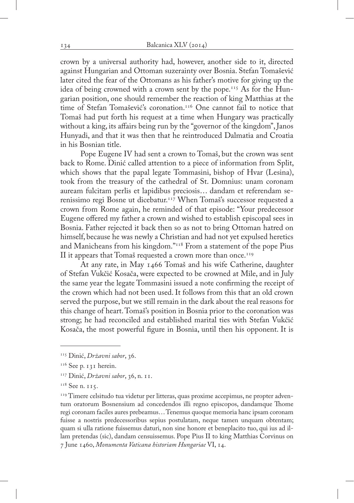crown by a universal authority had, however, another side to it, directed against Hungarian and Ottoman suzerainty over Bosnia. Stefan Tomašević later cited the fear of the Ottomans as his father's motive for giving up the idea of being crowned with a crown sent by the pope.115 As for the Hungarian position, one should remember the reaction of king Matthias at the time of Stefan Tomašević's coronation.116 One cannot fail to notice that Tomaš had put forth his request at a time when Hungary was practically without a king, its affairs being run by the "governor of the kingdom", Janos Hunyadi, and that it was then that he reintroduced Dalmatia and Croatia in his Bosnian title.

Pope Eugene IV had sent a crown to Tomaš, but the crown was sent back to Rome. Dinić called attention to a piece of information from Split, which shows that the papal legate Tommasini, bishop of Hvar (Lesina), took from the treasury of the cathedral of St. Domnius: unam coronam auream fulcitam perlis et lapidibus preciosis… dandam et referendam serenissimo regi Bosne ut dicebatur.117 When Tomaš's successor requested a crown from Rome again, he reminded of that episode: "Your predecessor Eugene offered my father a crown and wished to establish episcopal sees in Bosnia. Father rejected it back then so as not to bring Ottoman hatred on himself, because he was newly a Christian and had not yet expulsed heretics and Manicheans from his kingdom."118 From a statement of the pope Pius II it appears that Tomaš requested a crown more than once.<sup>119</sup>

At any rate, in May 1466 Tomaš and his wife Catherine, daughter of Stefan Vukčić Kosača, were expected to be crowned at Mile, and in July the same year the legate Tommasini issued a note confirming the receipt of the crown which had not been used. It follows from this that an old crown served the purpose, but we still remain in the dark about the real reasons for this change of heart. Tomaš's position in Bosnia prior to the coronation was strong; he had reconciled and established marital ties with Stefan Vukčić Kosača, the most powerful figure in Bosnia, until then his opponent. It is

<sup>115</sup> Dinić, *Državni sabor*, 36.

<sup>&</sup>lt;sup>116</sup> See p. 131 herein.

<sup>117</sup> Dinić, *Državni sabor*, 36, n. 11.

<sup>&</sup>lt;sup>118</sup> See n. 115.

<sup>&</sup>lt;sup>119</sup> Timere celsitudo tua videtur per litteras, quas proxime accepimus, ne propter adventum oratorum Bosnensium ad concedendos illi regno episcopos, dandamque Thome regi coronam faciles aures prebeamus… Tenemus quoque memoria hanc ipsam coronam fuisse a nostris predecessoribus sepius postulatam, neque tamen unquam obtentam; quam si ulla ratione fuissemus daturi, non sine honore et beneplacito tuo, qui ius ad illam pretendas (sic), dandam censuissemus. Pope Pius II to king Matthias Corvinus on 7 June 1460, *Monumenta Vaticana historiam Hungariae* VI, 14.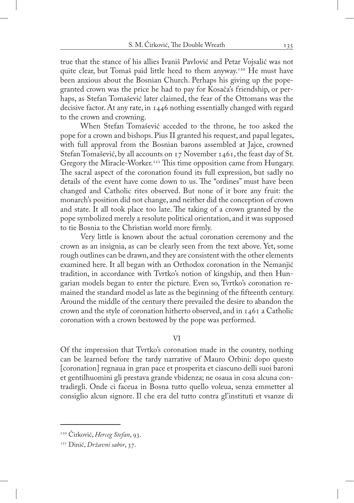true that the stance of his allies Ivaniš Pavlović and Petar Vojsalić was not quite clear, but Tomaš paid little heed to them anyway.120 He must have been anxious about the Bosnian Church. Perhaps his giving up the popegranted crown was the price he had to pay for Kosača's friendship, or perhaps, as Stefan Tomašević later claimed, the fear of the Ottomans was the decisive factor. At any rate, in 1446 nothing essentially changed with regard to the crown and crowning.

When Stefan Tomašević acceded to the throne, he too asked the pope for a crown and bishops. Pius II granted his request, and papal legates, with full approval from the Bosnian barons assembled at Jajce, crowned Stefan Tomašević, by all accounts on 17 November 1461, the feast day of St. Gregory the Miracle-Worker.<sup>121</sup> This time opposition came from Hungary. The sacral aspect of the coronation found its full expression, but sadly no details of the event have come down to us. The "ordines" must have been changed and Catholic rites observed. But none of it bore any fruit: the monarch's position did not change, and neither did the conception of crown and state. It all took place too late. The taking of a crown granted by the pope symbolized merely a resolute political orientation, and it was supposed to tie Bosnia to the Christian world more firmly.

Very little is known about the actual coronation ceremony and the crown as an insignia, as can be clearly seen from the text above. Yet, some rough outlines can be drawn, and they are consistent with the other elements examined here. It all began with an Orthodox coronation in the Nemanjić tradition, in accordance with Tvrtko's notion of kingship, and then Hungarian models began to enter the picture. Even so, Tvrtko's coronation remained the standard model as late as the beginning of the fifteenth century. Around the middle of the century there prevailed the desire to abandon the crown and the style of coronation hitherto observed, and in 1461 a Catholic coronation with a crown bestowed by the pope was performed.

## VI

Of the impression that Tvrtko's coronation made in the country, nothing can be learned before the tardy narrative of Mauro Orbini: dopo questo [coronation] regnaua in gran pace et prosperita et ciascuno delli suoi baroni et gentilhuomini gli prestava grande vbidenza; ne osaua in cosa alcuna contradirgli. Onde ci faceua in Bosna tutto quello voleua, senza emmetter al consiglio alcun signore. Il che era del tutto contra gl'instituti et vsanze di

<sup>120</sup> Ćirković, *Herceg Stefan*, 93.

<sup>121</sup> Dinić, *Državni sabor*, 37.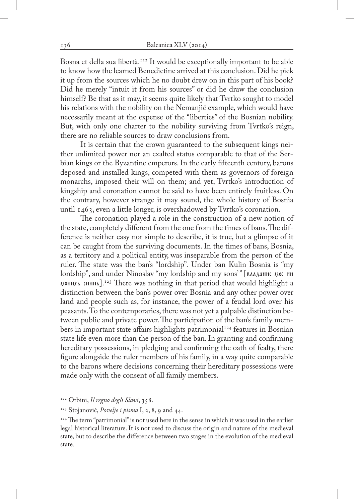Bosna et della sua libertà.<sup>122</sup> It would be exceptionally important to be able to know how the learned Benedictine arrived at this conclusion. Did he pick it up from the sources which he no doubt drew on in this part of his book? Did he merely "intuit it from his sources" or did he draw the conclusion himself? Be that as it may, it seems quite likely that Tvrtko sought to model his relations with the nobility on the Nemanjić example, which would have necessarily meant at the expense of the "liberties" of the Bosnian nobility. But, with only one charter to the nobility surviving from Tvrtko's reign, there are no reliable sources to draw conclusions from.

It is certain that the crown guaranteed to the subsequent kings neither unlimited power nor an exalted status comparable to that of the Serbian kings or the Byzantine emperors. In the early fifteenth century, barons deposed and installed kings, competed with them as governors of foreign monarchs, imposed their will on them; and yet, Tvrtko's introduction of kingship and coronation cannot be said to have been entirely fruitless. On the contrary, however strange it may sound, the whole history of Bosnia until 1463, even a little longer, is overshadowed by Tvrtko's coronation.

The coronation played a role in the construction of a new notion of the state, completely different from the one from the times of bans. The difference is neither easy nor simple to describe, it is true, but a glimpse of it can be caught from the surviving documents. In the times of bans, Bosnia, as a territory and a political entity, was inseparable from the person of the ruler. The state was the ban's "lordship". Under ban Kulin Bosnia is "my lordship", and under Ninoslav "my lordship and my sons'" [владанне цое нн  $\mu$ <sub>0</sub> HH<sub>N</sub> cHHH<sub>b</sub>].<sup>123</sup> There was nothing in that period that would highlight a distinction between the ban's power over Bosnia and any other power over land and people such as, for instance, the power of a feudal lord over his peasants. To the contemporaries, there was not yet a palpable distinction between public and private power. The participation of the ban's family members in important state affairs highlights patrimonial<sup>124</sup> features in Bosnian state life even more than the person of the ban. In granting and confirming hereditary possessions, in pledging and confirming the oath of fealty, there figure alongside the ruler members of his family, in a way quite comparable to the barons where decisions concerning their hereditary possessions were made only with the consent of all family members.

<sup>122</sup> Orbini, *Il regno degli Slavi*, 358.

<sup>123</sup> Stojanović, *Povelje i pisma* I, 2, 8, 9 and 44.

<sup>&</sup>lt;sup>124</sup> The term "patrimonial" is not used here in the sense in which it was used in the earlier legal historical literature. It is not used to discuss the origin and nature of the medieval state, but to describe the difference between two stages in the evolution of the medieval state.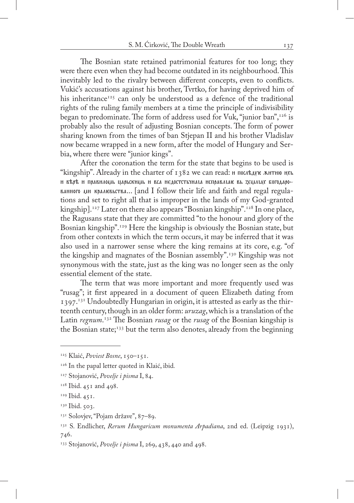The Bosnian state retained patrimonial features for too long; they were there even when they had become outdated in its neighbourhood. This inevitably led to the rivalry between different concepts, even to conflicts. Vukić's accusations against his brother, Tvrtko, for having deprived him of his inheritance<sup>125</sup> can only be understood as a defence of the traditional rights of the ruling family members at a time the principle of indivisibility began to predominate. The form of address used for Vuk, "junior ban", $126$  is probably also the result of adjusting Bosnian concepts. The form of power sharing known from the times of ban Stjepan II and his brother Vladislav now became wrapped in a new form, after the model of Hungary and Serbia, where there were "junior kings".

After the coronation the term for the state that begins to be used is "kingship". Already in the charter of 1382 we can read:  $\mu$  последую житню ихь H KEDE H ΠΟΑΒΗΛΟΙΛΕ ΠΑΟΕCKHIΛΕ Η ΒΩΑ ΗΕΔΟCTCTETHALA HCΠΟΑΒΛΙΑΚ ΒΕ ΖΕΙΛΛΙΑΧ ΕΟΓΟΔΑΟΟ- $\mu$ инного ми крал $\kappa$ выства... [and I follow their life and faith and regal regulations and set to right all that is improper in the lands of my God-granted kingship].<sup>127</sup> Later on there also appears "Bosnian kingship".<sup>128</sup> In one place, the Ragusans state that they are committed "to the honour and glory of the Bosnian kingship".129 Here the kingship is obviously the Bosnian state, but from other contexts in which the term occurs, it may be inferred that it was also used in a narrower sense where the king remains at its core, e.g. "of the kingship and magnates of the Bosnian assembly".130 Kingship was not synonymous with the state, just as the king was no longer seen as the only essential element of the state.

The term that was more important and more frequently used was "rusag"; it first appeared in a document of queen Elizabeth dating from 1397.<sup>131</sup> Undoubtedly Hungarian in origin, it is attested as early as the thirteenth century, though in an older form: *uruzag*, which is a translation of the Latin *regnum*. 132 The Bosnian *rusag* or the *rusag* of the Bosnian kingship is the Bosnian state;<sup>133</sup> but the term also denotes, already from the beginning

<sup>125</sup> Klaić, *Poviest Bosne*, 150–151.

<sup>126</sup> In the papal letter quoted in Klaić, ibid*.*

<sup>127</sup> Stojanović, *Povelje i pisma* I, 84.

<sup>&</sup>lt;sup>128</sup> Ibid. 451 and 498.

<sup>&</sup>lt;sup>129</sup> Ibid. 45 I.

<sup>&</sup>lt;sup>130</sup> Ibid. 503.

<sup>&</sup>lt;sup>131</sup> Solovjev, "Pojam države", 87–89.

<sup>132</sup> S. Endlicher, *Rerum Hungaricum monumenta Arpadiana*, 2nd ed. (Leipzig 1931), 746.

<sup>133</sup> Stojanović, *Povelje i pisma* I, 269, 438, 440 and 498.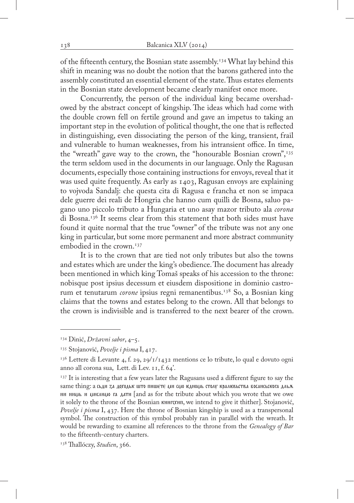of the fifteenth century, the Bosnian state assembly.<sup>134</sup> What lay behind this shift in meaning was no doubt the notion that the barons gathered into the assembly constituted an essential element of the state. Thus estates elements in the Bosnian state development became clearly manifest once more.

Concurrently, the person of the individual king became overshadowed by the abstract concept of kingship. The ideas which had come with the double crown fell on fertile ground and gave an impetus to taking an important step in the evolution of political thought, the one that is reflected in distinguishing, even dissociating the person of the king, transient, frail and vulnerable to human weaknesses, from his intransient office. In time, the "wreath" gave way to the crown, the "honourable Bosnian crown", $135$ the term seldom used in the documents in our language. Only the Ragusan documents, especially those containing instructions for envoys, reveal that it was used quite frequently. As early as 1403, Ragusan envoys are explaining to vojvoda Sandalj: che questa cita di Ragusa e francha et non se impaca dele guerre dei reali de Hongria che hanno cum quilli de Bosna, saluo pagano uno piccolo tributo a Hungaria et uno asay mazor tributo ala *corona*  di Bosna.136 It seems clear from this statement that both sides must have found it quite normal that the true "owner" of the tribute was not any one king in particular, but some more permanent and more abstract community embodied in the crown.<sup>137</sup>

It is to the crown that are tied not only tributes but also the towns and estates which are under the king's obedience. The document has already been mentioned in which king Tomaš speaks of his accession to the throne: nobisque post ipsius decessum et eiusdem dispositione in dominio castrorum et tenutarum *corone* ipsius regni remanentibus.<sup>138</sup> So, a Bosnian king claims that the towns and estates belong to the crown. All that belongs to the crown is indivisible and is transferred to the next bearer of the crown.

<sup>134</sup> Dinić, *Državni sabor*, 4–5.

<sup>135</sup> Stojanović, *Povelje i pisma* I, 417.

 $136$  Lettere di Levante 4, f. 29, 29/1/1432 mentions ce lo tribute, lo qual e dovuto ogni anno all corona sua, Lett. di Lev. 11, f. 64'.

<sup>&</sup>lt;sup>137</sup> It is interesting that a few years later the Ragusans used a different figure to say the same thing: а сьди za доходьк што пншете дн сло кдноль столу кралквьства босансьскога дльж HH HHUL H UHCAHUO TA AATH [and as for the tribute about which you wrote that we owe it solely to the throne of the Bosnian книгскип, we intend to give it thither]. Stojanović, *Povelje i pisma* I, 437. Here the throne of Bosnian kingship is used as a transpersonal symbol. The construction of this symbol probably ran in parallel with the wreath. It would be rewarding to examine all references to the throne from the *Genealogy of Bar* to the fifteenth-century charters.

<sup>138</sup> Thallóczy, *Studien*, 366.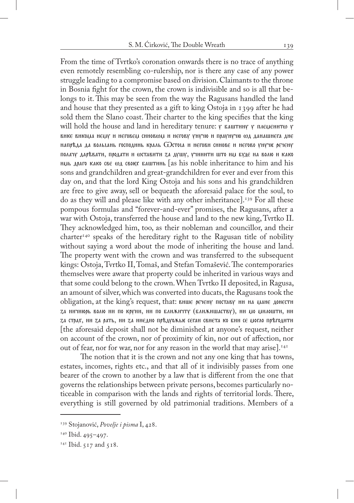From the time of Tvrtko's coronation onwards there is no trace of anything even remotely resembling co-rulership, nor is there any case of any power struggle leading to a compromise based on division. Claimants to the throne in Bosnia fight for the crown, the crown is indivisible and so is all that belongs to it. This may be seen from the way the Ragusans handled the land and house that they presented as a gift to king Ostoja in 1399 after he had sold them the Slano coast. Their charter to the king specifies that the king will hold the house and land in hereditary tenure:  $\gamma$  ваштину  $\gamma$  племенито  $\gamma$ вике викома нему и неговем синовом и негову унучю и праунучю од данашнега дне напреда да вольтань господннь краль  $G$ стота и негови синове и негово унучи речену полачу даревати, продати и фставити za душу, учинити што им буде на волю и како HIJL APAITO KAKO CRE WA CROFEX EALLTHING [as his noble inheritance to him and his sons and grandchildren and great-grandchildren for ever and ever from this day on, and that the lord King Ostoja and his sons and his grandchildren are free to give away, sell or bequeath the aforesaid palace for the soul, to do as they will and please like with any other inheritance].<sup>139</sup> For all these pompous formulas and "forever-and-ever" promises, the Ragusans, after a war with Ostoja, transferred the house and land to the new king, Tvrtko II. They acknowledged him, too, as their nobleman and councillor, and their  $charter<sup>140</sup>$  speaks of the hereditary right to the Ragusan title of nobility without saying a word about the mode of inheriting the house and land. The property went with the crown and was transferred to the subsequent kings: Ostoja, Tvrtko II, Tomaš, and Stefan Tomašević. The contemporaries themselves were aware that property could be inherited in various ways and that some could belong to the crown. When Tvrtko II deposited, in Ragusa, an amount of silver, which was converted into ducats, the Ragusans took the obligation, at the king's request, that: внше речену поставу ни на мане донести za ничнюрь волю ни по круни, ни по ближичту (ближишаству), ни до дилошти, ни za страх, ни za рать, ни za ниєдно пръдуожьк сеган свиета ко бии се могло пръгодити [the aforesaid deposit shall not be diminished at anyone's request, neither on account of the crown, nor of proximity of kin, nor out of affection, nor out of fear, nor for war, nor for any reason in the world that may arise].<sup>141</sup>

The notion that it is the crown and not any one king that has towns, estates, incomes, rights etc., and that all of it indivisibly passes from one bearer of the crown to another by a law that is different from the one that governs the relationships between private persons, becomes particularly noticeable in comparison with the lands and rights of territorial lords. There, everything is still governed by old patrimonial traditions. Members of a

<sup>139</sup> Stojanović, *Povelje i pisma* I, 428.

 $140$  Ibid. 495–497.

 $141$  Ibid. 517 and 518.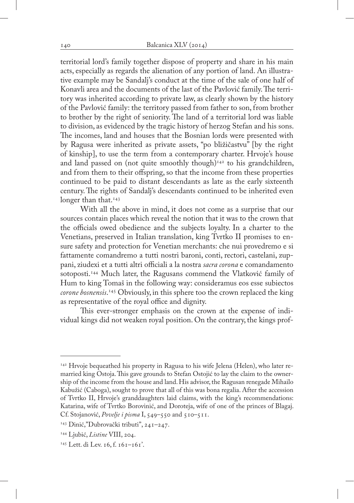territorial lord's family together dispose of property and share in his main acts, especially as regards the alienation of any portion of land. An illustrative example may be Sandalj's conduct at the time of the sale of one half of Konavli area and the documents of the last of the Pavlović family. The territory was inherited according to private law, as clearly shown by the history of the Pavlović family: the territory passed from father to son, from brother to brother by the right of seniority. The land of a territorial lord was liable to division, as evidenced by the tragic history of herzog Stefan and his sons. The incomes, land and houses that the Bosnian lords were presented with by Ragusa were inherited as private assets, "po bližičastvu" [by the right of kinship], to use the term from a contemporary charter. Hrvoje's house and land passed on (not quite smoothly though) $142$  to his grandchildren, and from them to their offspring, so that the income from these properties continued to be paid to distant descendants as late as the early sixteenth century. The rights of Sandalj's descendants continued to be inherited even longer than that.<sup>143</sup>

With all the above in mind, it does not come as a surprise that our sources contain places which reveal the notion that it was to the crown that the officials owed obedience and the subjects loyalty. In a charter to the Venetians, preserved in Italian translation, king Tvrtko II promises to ensure safety and protection for Venetian merchants: che nui provedremo e si fattamente comandremo a tutti nostri baroni, conti, rectori, castelani, zuppani, ziudexi et a tutti altri officiali a la nostra *sacra corona* e comandamento sotoposti.<sup>144</sup> Much later, the Ragusans commend the Vlatković family of Hum to king Tomaš in the following way: consideramus eos esse subiectos *corone bosnensis*. 145 Obviously, in this sphere too the crown replaced the king as representative of the royal office and dignity.

This ever-stronger emphasis on the crown at the expense of individual kings did not weaken royal position. On the contrary, the kings prof-

<sup>&</sup>lt;sup>142</sup> Hrvoje bequeathed his property in Ragusa to his wife Jelena (Helen), who later remarried king Ostoja. This gave grounds to Stefan Ostojić to lay the claim to the ownership of the income from the house and land. His advisor, the Ragusan renegade Mihailo Kabužić (Caboga), sought to prove that all of this was bona regalia. After the accession of Tvrtko II, Hrvoje's granddaughters laid claims, with the king's recommendations: Katarina, wife of Tvrtko Borovinić, and Doroteja, wife of one of the princes of Blagaj. Cf. Stojanović, *Povelje i pisma* I, 549–550 and 510–511.

<sup>143</sup> Dinić,"Dubrovački tributi", 241–247.

<sup>144</sup> Ljubić, *Listine* VIII, 204.

<sup>145</sup> Lett. di Lev. 16, f. 161–161'.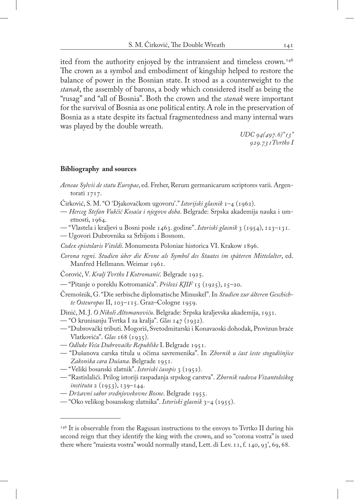ited from the authority enjoyed by the intransient and timeless crown.<sup>146</sup> The crown as a symbol and embodiment of kingship helped to restore the balance of power in the Bosnian state. It stood as a counterweight to the *stanak*, the assembly of barons, a body which considered itself as being the "rusag" and "all of Bosnia". Both the crown and the *stanak* were important for the survival of Bosnia as one political entity. A role in the preservation of Bosnia as a state despite its factual fragmentedness and many internal wars was played by the double wreath.

> *UDC 94(497.6)"13" 929.731Tvrtko I*

## **Bibliography and sources**

- *Aeneae Sylvii de statu Europae*, ed. Freher, Rerum germanicarum scriptores varii. Argentorati 1717.
- Ćirković, S. M. "O 'Djakovačkom ugovoru'." *Istorijski glasnik* 1–4 (1962).
- *Herceg Stefan Vukčić Kosača i njegovo doba*. Belgrade: Srpska akademija nauka i umetnosti, 1964.
- "Vlastela i kraljevi u Bosni posle 1463. godine". *Istoriski glasnik* 3 (1954), 123–131.
- Ugovori Dubrovnika sa Srbijom i Bosnom.
- *Codex epistolaris Vitoldi*. Monumenta Poloniae historica VI. Krakow 1896.
- *Corona regni. Studien über die Krone als Symbol des Staates im späteren Mittelalter*, ed. Manfred Hellmann. Weimar 1961.
- Ćorović, V. *Kralj Tvrtko I Kotromanić*. Belgrade 1925.
- "Pitanje o poreklu Kotromanića". *Prilozi KJIF* 15 (1925), 15–20.
- Čremošnik, G. "Die serbische diplomatische Minuskel". In *Studien zur älteren Geschichte Osteuropas* II, 103–115. Graz–Cologne 1959.

Dinić, M. J. *O Nikoli Altomanoviću*. Belgrade: Srpska kraljevska akademija, 1931.

- "O krunisanju Tvrtka I za kralja". *Glas* 147 (1932).
- "Dubrovački tributi. Mogoriš, Svetodmitarski i Konavaoski dohodak, Provizun braće Vlatkovića". *Glas* 168 (1935).
- *Odluke Veća Dubrovačke Republike* I. Belgrade 1951.
- "Dušanova carska titula u očima savremenika". In *Zbornik u čast šeste stogodišnjice Zakonika cara Dušana*. Belgrade 1951.
- "Veliki bosanski zlatnik". *Istoriski časopis* 3 (1952).
- "Rastislalići. Prilog istoriji raspadanja srpskog carstva". *Zbornik radova Vizantološkog instituta* 2 (1953), 139–144.
- *Državni sabor srednjovekovne Bosne*. Belgrade 1955.
- "Oko velikog bosanskog zlatnika". *Istoriski glasnik* 3–4 (1955).

 $146$  It is observable from the Ragusan instructions to the envoys to Tvrtko II during his second reign that they identify the king with the crown, and so "corona vostra" is used there where "maiesta vostra" would normally stand, Lett. di Lev. 11, f. 140, 93', 69, 68.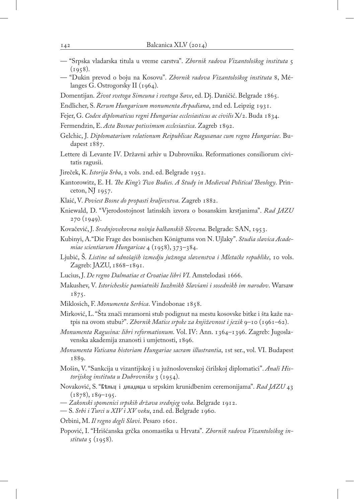- "Srpska vladarska titula u vreme carstva". *Zbornik radova Vizantološkog instituta* 5  $(1958).$
- "Dukin prevod o boju na Kosovu". *Zbornik radova Vizantološkog instituta* 8, Mélanges G. Ostrogorsky II (1964).
- Domentijan. *Život svetoga Simeuna i svetoga Save*, ed. Dj. Daničić. Belgrade 1865.
- Endlicher, S. *Rerum Hungaricum monumenta Arpadiana*, 2nd ed. Leipzig 1931.
- Fejer, G. *Codex diplomaticus regni Hungariae ecclesiasticus ac civilis* X/2. Buda 1834.
- Fermendzin, E. *Acta Bosnae potissimum ecclesiastica*. Zagreb 1892.
- Gelchic, J. *Diplomatarium relationum Reipublicae Ragusanae cum regno Hungariae*. Budapest 1887.
- Lettere di Levante IV. Državni arhiv u Dubrovniku. Reformationes consiliorum civitatis ragusii.
- Jireček, K. *Istorija Srba*, 2 vols. 2nd. ed. Belgrade 1952.
- Kantorowitz, E. H. *The King's Two Bodies. A Study in Medieval Political Theology*. Princeton, NJ 1957.
- Klaić, V. *Poviest Bosne do propasti kraljevstva*. Zagreb 1882.
- Kniewald, D. "Vjerodostojnost latinskih izvora o bosanskim krstjanima". *Rad JAZU*  270 (1949).
- Kovačević, J. *Srednjovekovna nošnja balkanskih Slovena*. Belgrade: SAN, 1953.
- Kubinyi, A."Die Frage des bosnischen Königtums von N. Ujlaky". *Studia slavica Academiae scientiarum Hungaricae* 4 (1958), 373–384.
- Ljubić, Š. *Listine od odnošajih izmedju južnoga slavenstva i Mletačke republike*, 10 vols. Zagreb: JAZU, 1868–1891.
- Lucius, J. *De regno Dalmatiae et Croatiae libri VI*. Amstelodasi 1666.
- Makushev, V. *Istoricheskie pamiatniki Iuzhnikh Slaviani i sosednikh im narodov*. Warsaw 1875.
- Miklosich, F. *Monumenta Serbica*. Vindobonae 1858.
- Mirković, L. "Šta znači mramorni stub podignut na mestu kosovske bitke i šta kaže natpis na ovom stubu?". *Zbornik Matice srpske za književnost i jezik* 9–10 (1961–62).
- *Monumenta Ragusina: libri reformationum*. Vol. IV: Ann. 1364–1396. Zagreb: Jugoslavenska akademija znanosti i umjetnosti, 1896.
- *Monumenta Vaticana historiam Hungariae sacram illustrantia*, 1st ser., vol. VI. Budapest 1889.
- Mošin, V. "Sankcija u vizantijskoj i u južnoslovenskoj ćirilskoj diplomatici". *Anali Historijskog instituta u Dubrovniku* 3 (1954).
- Novaković, S. "Въньц і дніадниа u srpskim krunidbenim ceremonijama". *Rad JAZU* 43 (1878), 189–195.
- *Zakonski spomenici srpskih država srednjeg veka*. Belgrade 1912.
- S. *Srbi i Turci u XIV i XV veku*, 2nd. ed. Belgrade 1960.
- Orbini, M. *Il regno degli Slavi*. Pesaro 1601.
- Popović, I. "Hrišćanska grčka onomastika u Hrvata". *Zbornik radova Vizantološkog instituta* 5 (1958).